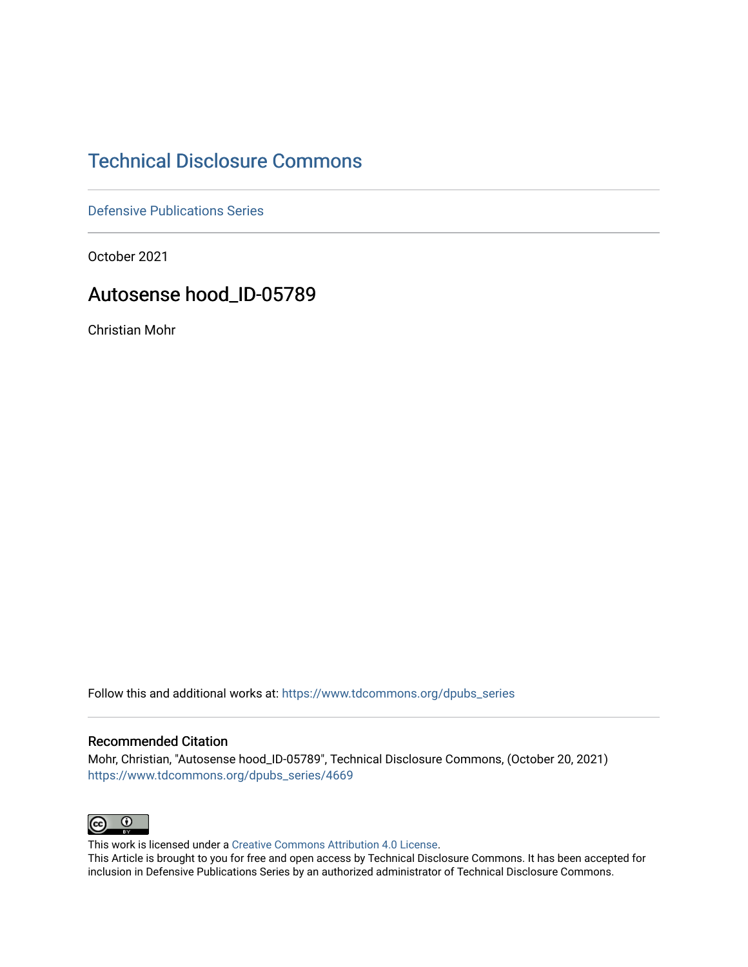## [Technical Disclosure Commons](https://www.tdcommons.org/)

[Defensive Publications Series](https://www.tdcommons.org/dpubs_series)

October 2021

## Autosense hood\_ID-05789

Christian Mohr

Follow this and additional works at: [https://www.tdcommons.org/dpubs\\_series](https://www.tdcommons.org/dpubs_series?utm_source=www.tdcommons.org%2Fdpubs_series%2F4669&utm_medium=PDF&utm_campaign=PDFCoverPages) 

#### Recommended Citation

Mohr, Christian, "Autosense hood\_ID-05789", Technical Disclosure Commons, (October 20, 2021) [https://www.tdcommons.org/dpubs\\_series/4669](https://www.tdcommons.org/dpubs_series/4669?utm_source=www.tdcommons.org%2Fdpubs_series%2F4669&utm_medium=PDF&utm_campaign=PDFCoverPages)



This work is licensed under a [Creative Commons Attribution 4.0 License](http://creativecommons.org/licenses/by/4.0/deed.en_US).

This Article is brought to you for free and open access by Technical Disclosure Commons. It has been accepted for inclusion in Defensive Publications Series by an authorized administrator of Technical Disclosure Commons.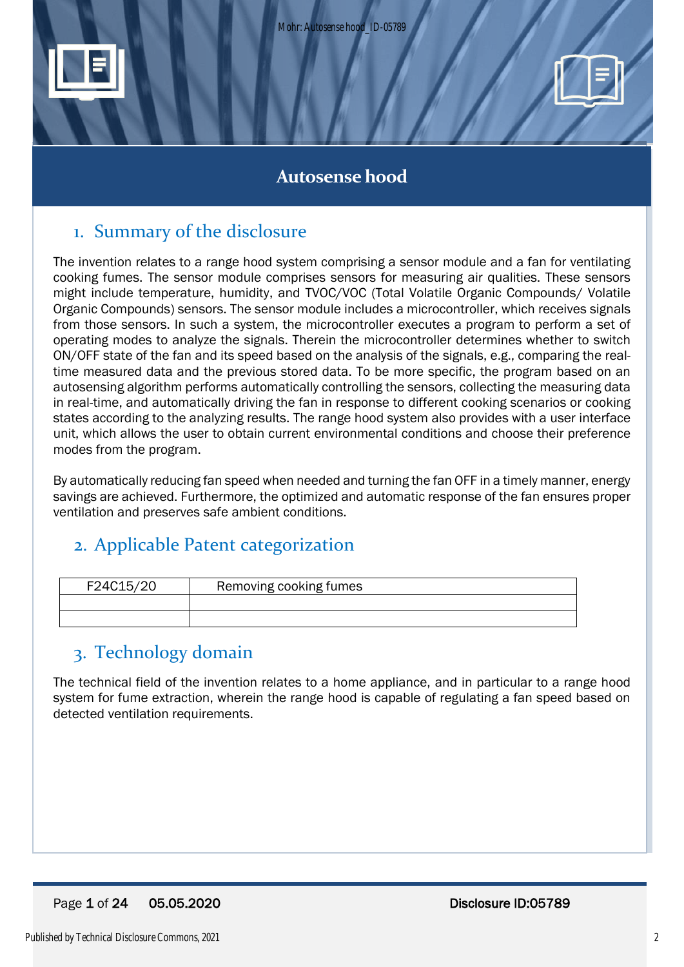



## **Autosense hood**

# 1. Summary of the disclosure

The invention relates to a range hood system comprising a sensor module and a fan for ventilating cooking fumes. The sensor module comprises sensors for measuring air qualities. These sensors might include temperature, humidity, and TVOC/VOC (Total Volatile Organic Compounds/ Volatile Organic Compounds) sensors. The sensor module includes a microcontroller, which receives signals from those sensors. In such a system, the microcontroller executes a program to perform a set of operating modes to analyze the signals. Therein the microcontroller determines whether to switch ON/OFF state of the fan and its speed based on the analysis of the signals, e.g., comparing the realtime measured data and the previous stored data. To be more specific, the program based on an autosensing algorithm performs automatically controlling the sensors, collecting the measuring data in real-time, and automatically driving the fan in response to different cooking scenarios or cooking states according to the analyzing results. The range hood system also provides with a user interface unit, which allows the user to obtain current environmental conditions and choose their preference modes from the program.

By automatically reducing fan speed when needed and turning the fan OFF in a timely manner, energy savings are achieved. Furthermore, the optimized and automatic response of the fan ensures proper ventilation and preserves safe ambient conditions.

# 2. Applicable Patent categorization

| F24C15/20 | Removing cooking fumes |  |
|-----------|------------------------|--|
|           |                        |  |
|           |                        |  |

# 3. Technology domain

The technical field of the invention relates to a home appliance, and in particular to a range hood system for fume extraction, wherein the range hood is capable of regulating a fan speed based on detected ventilation requirements.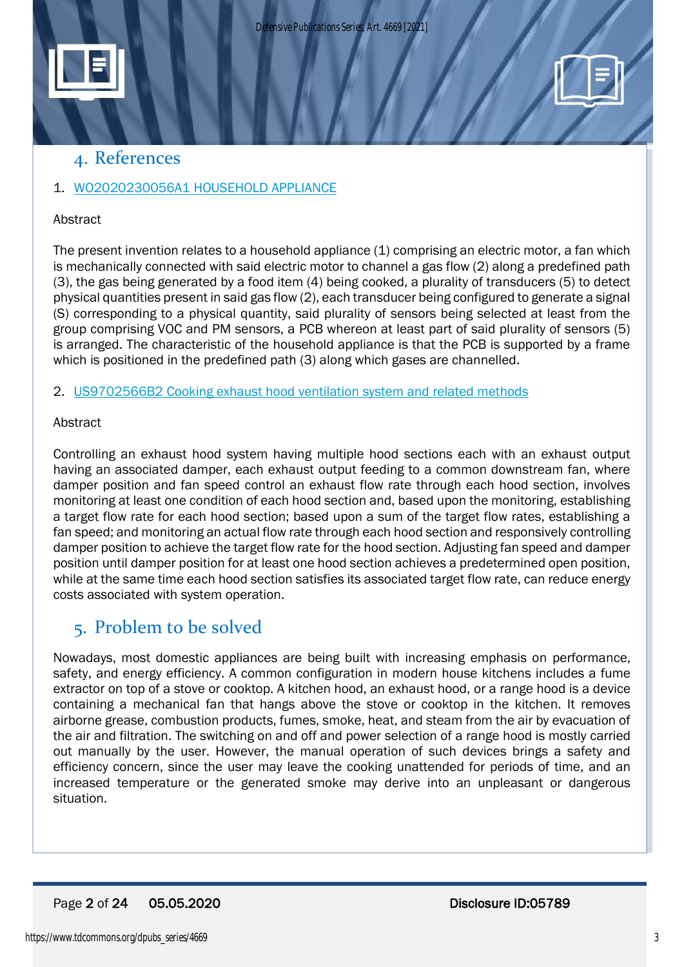



## 1. [WO2020230056A1](https://worldwide.espacenet.com/patent/search?q=pn%3DWO2020230056A1) HOUSEHOLD APPLIANCE

### Abstract

The present invention relates to a household appliance (1) comprising an electric motor, a fan which is mechanically connected with said electric motor to channel a gas flow (2) along a predefined path (3), the gas being generated by a food item (4) being cooked, a plurality of transducers (5) to detect physical quantities present in said gas flow (2), each transducer being configured to generate a signal (S) corresponding to a physical quantity, said plurality of sensors being selected at least from the group comprising VOC and PM sensors, a PCB whereon at least part of said plurality of sensors (5) is arranged. The characteristic of the household appliance is that the PCB is supported by a frame which is positioned in the predefined path (3) along which gases are channelled.

### 2. [US9702566B2](https://worldwide.espacenet.com/patent/search?q=pn%3DUS9702566B2) Cooking exhaust hood ventilation system and related methods

### **Abstract**

Controlling an exhaust hood system having multiple hood sections each with an exhaust output having an associated damper, each exhaust output feeding to a common downstream fan, where damper position and fan speed control an exhaust flow rate through each hood section, involves monitoring at least one condition of each hood section and, based upon the monitoring, establishing a target flow rate for each hood section; based upon a sum of the target flow rates, establishing a fan speed; and monitoring an actual flow rate through each hood section and responsively controlling damper position to achieve the target flow rate for the hood section. Adjusting fan speed and damper position until damper position for at least one hood section achieves a predetermined open position, while at the same time each hood section satisfies its associated target flow rate, can reduce energy costs associated with system operation.

## 5. Problem to be solved

Nowadays, most domestic appliances are being built with increasing emphasis on performance, safety, and energy efficiency. A common configuration in modern house kitchens includes a fume extractor on top of a stove or cooktop. A kitchen hood, an exhaust hood, or a range hood is a device containing a mechanical fan that hangs above the stove or cooktop in the kitchen. It removes airborne grease, combustion products, fumes, smoke, heat, and steam from the air by evacuation of the air and filtration. The switching on and off and power selection of a range hood is mostly carried out manually by the user. However, the manual operation of such devices brings a safety and efficiency concern, since the user may leave the cooking unattended for periods of time, and an increased temperature or the generated smoke may derive into an unpleasant or dangerous situation.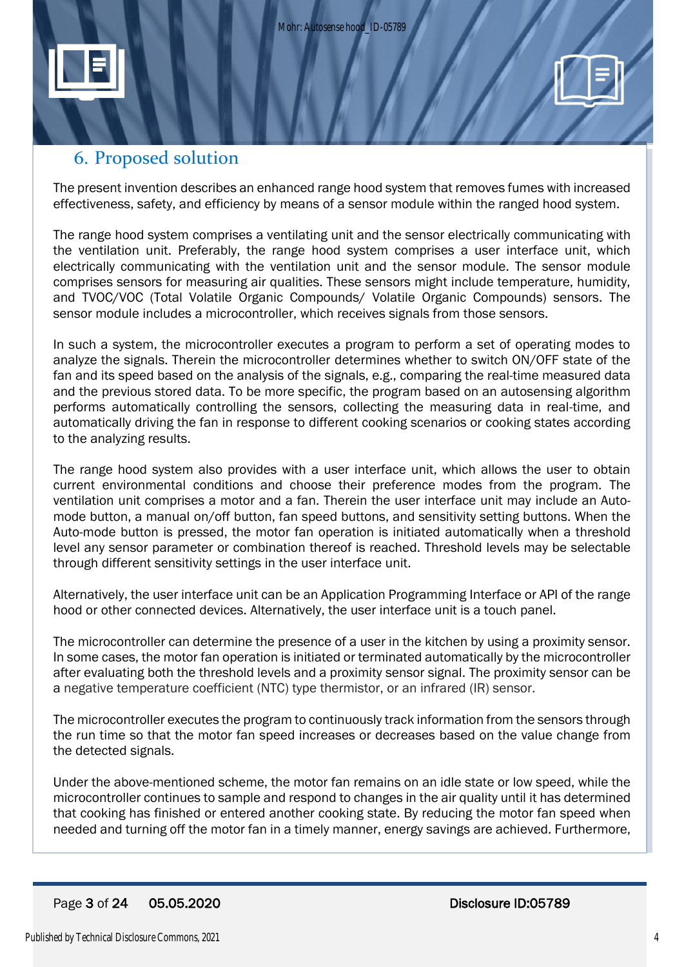



The present invention describes an enhanced range hood system that removes fumes with increased effectiveness, safety, and efficiency by means of a sensor module within the ranged hood system.

The range hood system comprises a ventilating unit and the sensor electrically communicating with the ventilation unit. Preferably, the range hood system comprises a user interface unit, which electrically communicating with the ventilation unit and the sensor module. The sensor module comprises sensors for measuring air qualities. These sensors might include temperature, humidity, and TVOC/VOC (Total Volatile Organic Compounds/ Volatile Organic Compounds) sensors. The sensor module includes a microcontroller, which receives signals from those sensors.

In such a system, the microcontroller executes a program to perform a set of operating modes to analyze the signals. Therein the microcontroller determines whether to switch ON/OFF state of the fan and its speed based on the analysis of the signals, e.g., comparing the real-time measured data and the previous stored data. To be more specific, the program based on an autosensing algorithm performs automatically controlling the sensors, collecting the measuring data in real-time, and automatically driving the fan in response to different cooking scenarios or cooking states according to the analyzing results.

The range hood system also provides with a user interface unit, which allows the user to obtain current environmental conditions and choose their preference modes from the program. The ventilation unit comprises a motor and a fan. Therein the user interface unit may include an Automode button, a manual on/off button, fan speed buttons, and sensitivity setting buttons. When the Auto-mode button is pressed, the motor fan operation is initiated automatically when a threshold level any sensor parameter or combination thereof is reached. Threshold levels may be selectable through different sensitivity settings in the user interface unit.

Alternatively, the user interface unit can be an Application Programming Interface or API of the range hood or other connected devices. Alternatively, the user interface unit is a touch panel.

The microcontroller can determine the presence of a user in the kitchen by using a proximity sensor. In some cases, the motor fan operation is initiated or terminated automatically by the microcontroller after evaluating both the threshold levels and a proximity sensor signal. The proximity sensor can be a negative temperature coefficient (NTC) type thermistor, or an infrared (IR) sensor.

The microcontroller executes the program to continuously track information from the sensors through the run time so that the motor fan speed increases or decreases based on the value change from the detected signals.

Under the above-mentioned scheme, the motor fan remains on an idle state or low speed, while the microcontroller continues to sample and respond to changes in the air quality until it has determined that cooking has finished or entered another cooking state. By reducing the motor fan speed when needed and turning off the motor fan in a timely manner, energy savings are achieved. Furthermore,

#### Page 3 of 24 05.05.2020 Disclosure ID:05789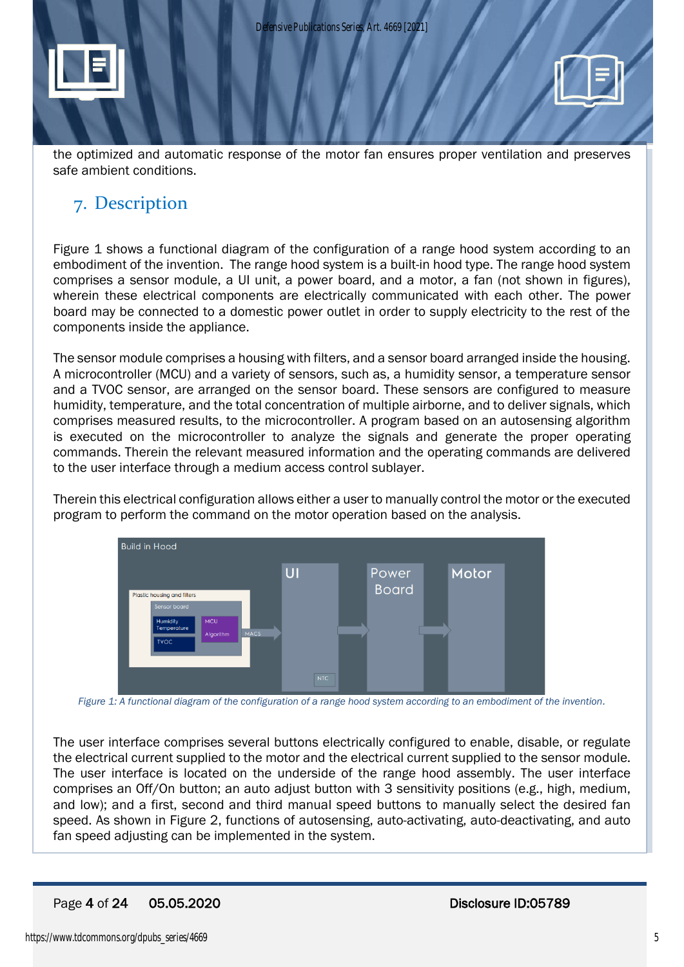

the optimized and automatic response of the motor fan ensures proper ventilation and preserves safe ambient conditions.

## 7. Description

Figure 1 shows a functional diagram of the configuration of a range hood system according to an embodiment of the invention. The range hood system is a built-in hood type. The range hood system comprises a sensor module, a UI unit, a power board, and a motor, a fan (not shown in figures), wherein these electrical components are electrically communicated with each other. The power board may be connected to a domestic power outlet in order to supply electricity to the rest of the components inside the appliance.

The sensor module comprises a housing with filters, and a sensor board arranged inside the housing. A microcontroller (MCU) and a variety of sensors, such as, a humidity sensor, a temperature sensor and a TVOC sensor, are arranged on the sensor board. These sensors are configured to measure humidity, temperature, and the total concentration of multiple airborne, and to deliver signals, which comprises measured results, to the microcontroller. A program based on an autosensing algorithm is executed on the microcontroller to analyze the signals and generate the proper operating commands. Therein the relevant measured information and the operating commands are delivered to the user interface through a medium access control sublayer.

Therein this electrical configuration allows either a user to manually control the motor or the executed program to perform the command on the motor operation based on the analysis.



*Figure 1: A functional diagram of the configuration of a range hood system according to an embodiment of the invention.*

The user interface comprises several buttons electrically configured to enable, disable, or regulate the electrical current supplied to the motor and the electrical current supplied to the sensor module. The user interface is located on the underside of the range hood assembly. The user interface comprises an Off/On button; an auto adjust button with 3 sensitivity positions (e.g., high, medium, and low); and a first, second and third manual speed buttons to manually select the desired fan speed. As shown in Figure 2, functions of autosensing, auto-activating, auto-deactivating, and auto fan speed adjusting can be implemented in the system.

## Page 4 of 24 05.05.2020 Disclosure ID:05789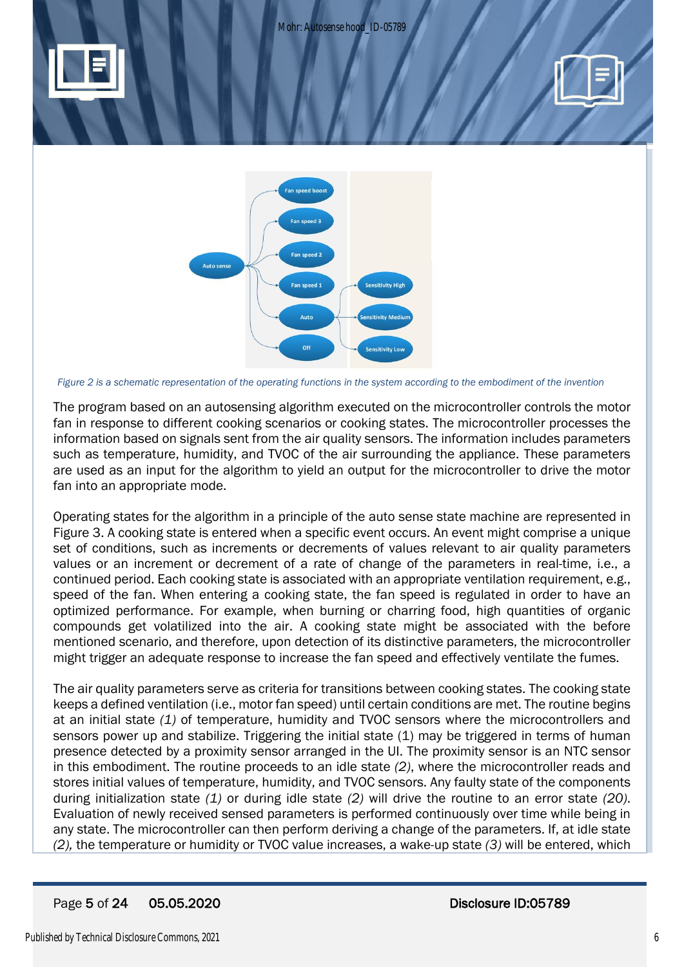



*Figure 2 is a schematic representation of the operating functions in the system according to the embodiment of the invention*

The program based on an autosensing algorithm executed on the microcontroller controls the motor fan in response to different cooking scenarios or cooking states. The microcontroller processes the information based on signals sent from the air quality sensors. The information includes parameters such as temperature, humidity, and TVOC of the air surrounding the appliance. These parameters are used as an input for the algorithm to yield an output for the microcontroller to drive the motor fan into an appropriate mode.

Operating states for the algorithm in a principle of the auto sense state machine are represented in Figure 3. A cooking state is entered when a specific event occurs. An event might comprise a unique set of conditions, such as increments or decrements of values relevant to air quality parameters values or an increment or decrement of a rate of change of the parameters in real-time, i.e., a continued period. Each cooking state is associated with an appropriate ventilation requirement, e.g., speed of the fan. When entering a cooking state, the fan speed is regulated in order to have an optimized performance. For example, when burning or charring food, high quantities of organic compounds get volatilized into the air. A cooking state might be associated with the before mentioned scenario, and therefore, upon detection of its distinctive parameters, the microcontroller might trigger an adequate response to increase the fan speed and effectively ventilate the fumes.

The air quality parameters serve as criteria for transitions between cooking states. The cooking state keeps a defined ventilation (i.e., motor fan speed) until certain conditions are met. The routine begins at an initial state *(1)* of temperature, humidity and TVOC sensors where the microcontrollers and sensors power up and stabilize. Triggering the initial state (1) may be triggered in terms of human presence detected by a proximity sensor arranged in the UI. The proximity sensor is an NTC sensor in this embodiment. The routine proceeds to an idle state *(2)*, where the microcontroller reads and stores initial values of temperature, humidity, and TVOC sensors. Any faulty state of the components during initialization state *(1)* or during idle state *(2)* will drive the routine to an error state *(20)*. Evaluation of newly received sensed parameters is performed continuously over time while being in any state. The microcontroller can then perform deriving a change of the parameters. If, at idle state *(2),* the temperature or humidity or TVOC value increases, a wake-up state *(3)* will be entered, which

## Page 5 of 24 05.05.2020 Disclosure ID:05789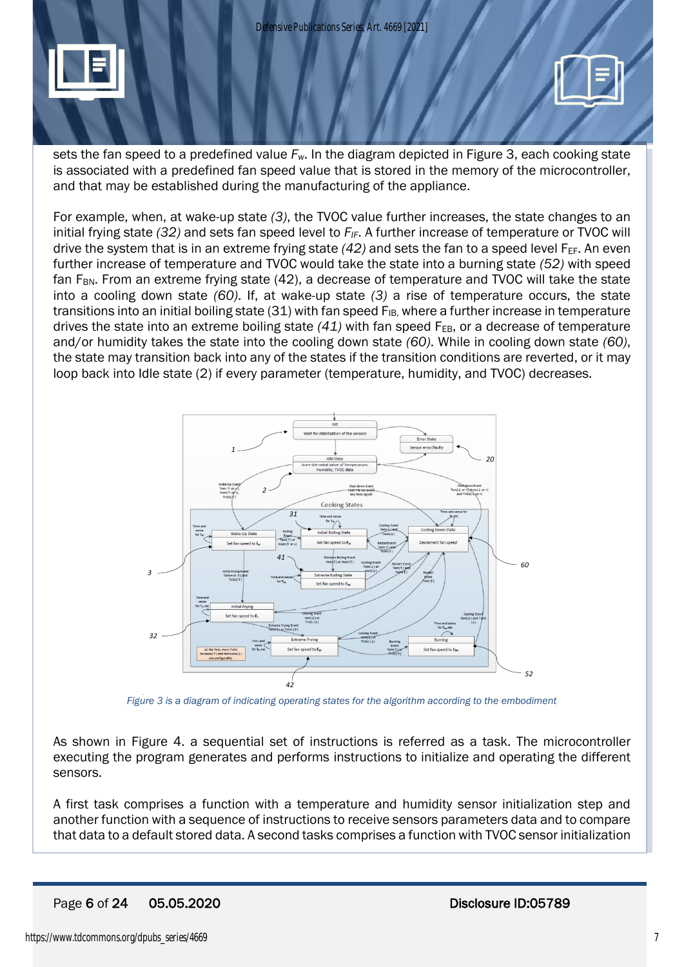



sets the fan speed to a predefined value *Fw*. In the diagram depicted in Figure 3, each cooking state is associated with a predefined fan speed value that is stored in the memory of the microcontroller, and that may be established during the manufacturing of the appliance.

For example, when, at wake-up state *(3)*, the TVOC value further increases, the state changes to an initial frying state *(32)* and sets fan speed level to *FIF*. A further increase of temperature or TVOC will drive the system that is in an extreme frying state  $(42)$  and sets the fan to a speed level  $F_{EF}$ . An even further increase of temperature and TVOC would take the state into a burning state *(52)* with speed fan F<sub>BN</sub>. From an extreme frying state (42), a decrease of temperature and TVOC will take the state into a cooling down state *(60)*. If, at wake-up state *(3)* a rise of temperature occurs, the state transitions into an initial boiling state (31) with fan speed  $F_{IB}$ , where a further increase in temperature drives the state into an extreme boiling state  $(41)$  with fan speed  $F_{EB}$ , or a decrease of temperature and/or humidity takes the state into the cooling down state *(60)*. While in cooling down state *(60)*, the state may transition back into any of the states if the transition conditions are reverted, or it may loop back into Idle state (2) if every parameter (temperature, humidity, and TVOC) decreases.



*Figure 3 is a diagram of indicating operating states for the algorithm according to the embodiment*

As shown in Figure 4. a sequential set of instructions is referred as a task. The microcontroller executing the program generates and performs instructions to initialize and operating the different sensors.

A first task comprises a function with a temperature and humidity sensor initialization step and another function with a sequence of instructions to receive sensors parameters data and to compare that data to a default stored data. A second tasks comprises a function with TVOC sensor initialization

## Page 6 of 24 05.05.2020 Disclosure ID:05789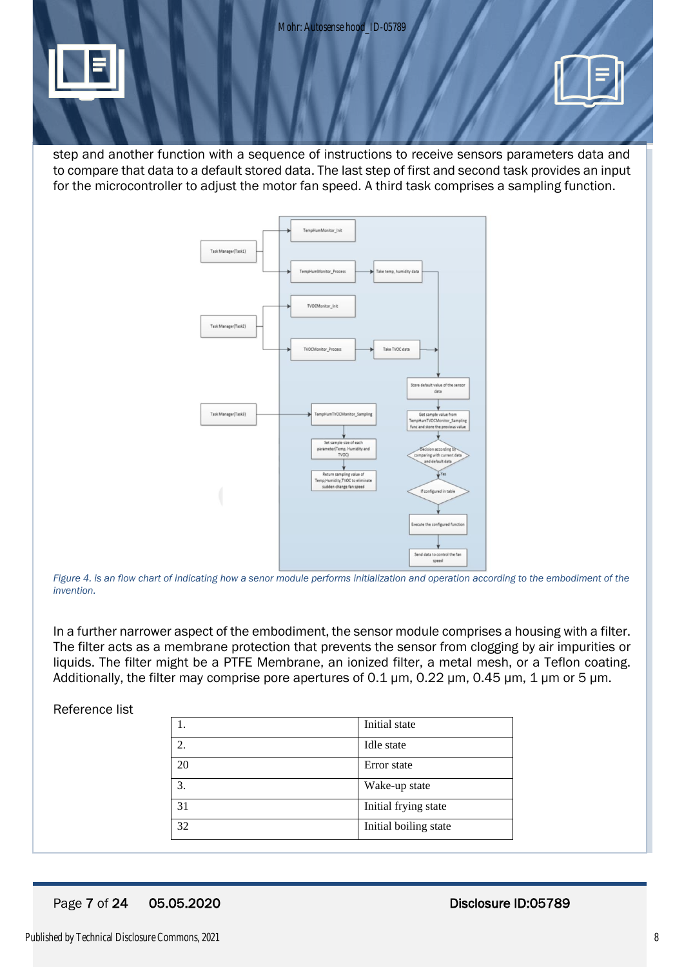Mohr: Autosense hood\_ID-05789



step and another function with a sequence of instructions to receive sensors parameters data and to compare that data to a default stored data. The last step of first and second task provides an input for the microcontroller to adjust the motor fan speed. A third task comprises a sampling function.



*Figure 4. is an flow chart of indicating how a senor module performs initialization and operation according to the embodiment of the invention.*

In a further narrower aspect of the embodiment, the sensor module comprises a housing with a filter. The filter acts as a membrane protection that prevents the sensor from clogging by air impurities or liquids. The filter might be a PTFE Membrane, an ionized filter, a metal mesh, or a Teflon coating. Additionally, the filter may comprise pore apertures of 0.1 μm, 0.22 μm, 0.45 μm, 1 μm or 5 μm.

#### Reference list

|    | Initial state         |
|----|-----------------------|
| 2. | Idle state            |
| 20 | Error state           |
| 3. | Wake-up state         |
| 31 | Initial frying state  |
| 32 | Initial boiling state |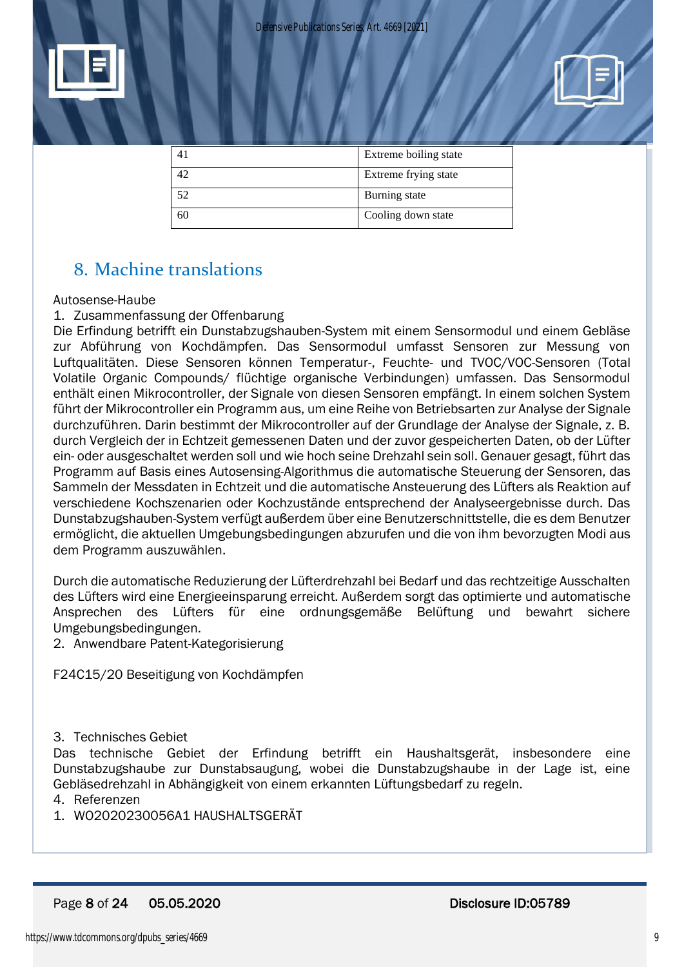



|          | Extreme boiling state |
|----------|-----------------------|
| $\Delta$ | Extreme frying state  |
| 52       | Burning state         |
| 60       | Cooling down state    |

# 8. Machine translations

#### Autosense-Haube

#### 1. Zusammenfassung der Offenbarung

Die Erfindung betrifft ein Dunstabzugshauben-System mit einem Sensormodul und einem Gebläse zur Abführung von Kochdämpfen. Das Sensormodul umfasst Sensoren zur Messung von Luftqualitäten. Diese Sensoren können Temperatur-, Feuchte- und TVOC/VOC-Sensoren (Total Volatile Organic Compounds/ flüchtige organische Verbindungen) umfassen. Das Sensormodul enthält einen Mikrocontroller, der Signale von diesen Sensoren empfängt. In einem solchen System führt der Mikrocontroller ein Programm aus, um eine Reihe von Betriebsarten zur Analyse der Signale durchzuführen. Darin bestimmt der Mikrocontroller auf der Grundlage der Analyse der Signale, z. B. durch Vergleich der in Echtzeit gemessenen Daten und der zuvor gespeicherten Daten, ob der Lüfter ein- oder ausgeschaltet werden soll und wie hoch seine Drehzahl sein soll. Genauer gesagt, führt das Programm auf Basis eines Autosensing-Algorithmus die automatische Steuerung der Sensoren, das Sammeln der Messdaten in Echtzeit und die automatische Ansteuerung des Lüfters als Reaktion auf verschiedene Kochszenarien oder Kochzustände entsprechend der Analyseergebnisse durch. Das Dunstabzugshauben-System verfügt außerdem über eine Benutzerschnittstelle, die es dem Benutzer ermöglicht, die aktuellen Umgebungsbedingungen abzurufen und die von ihm bevorzugten Modi aus dem Programm auszuwählen.

Durch die automatische Reduzierung der Lüfterdrehzahl bei Bedarf und das rechtzeitige Ausschalten des Lüfters wird eine Energieeinsparung erreicht. Außerdem sorgt das optimierte und automatische Ansprechen des Lüfters für eine ordnungsgemäße Belüftung und bewahrt sichere Umgebungsbedingungen.

2. Anwendbare Patent-Kategorisierung

F24C15/20 Beseitigung von Kochdämpfen

#### 3. Technisches Gebiet

Das technische Gebiet der Erfindung betrifft ein Haushaltsgerät, insbesondere eine Dunstabzugshaube zur Dunstabsaugung, wobei die Dunstabzugshaube in der Lage ist, eine Gebläsedrehzahl in Abhängigkeit von einem erkannten Lüftungsbedarf zu regeln.

- 4. Referenzen
- 1. WO2020230056A1 HAUSHALTSGERÄT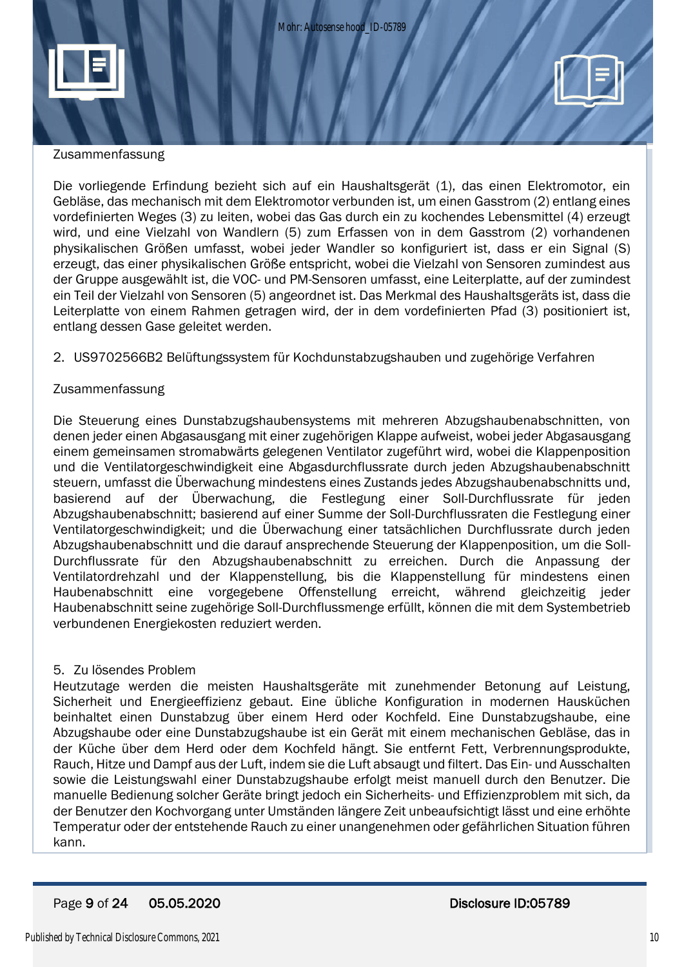

#### Zusammenfassung

Die vorliegende Erfindung bezieht sich auf ein Haushaltsgerät (1), das einen Elektromotor, ein Gebläse, das mechanisch mit dem Elektromotor verbunden ist, um einen Gasstrom (2) entlang eines vordefinierten Weges (3) zu leiten, wobei das Gas durch ein zu kochendes Lebensmittel (4) erzeugt wird, und eine Vielzahl von Wandlern (5) zum Erfassen von in dem Gasstrom (2) vorhandenen physikalischen Größen umfasst, wobei jeder Wandler so konfiguriert ist, dass er ein Signal (S) erzeugt, das einer physikalischen Größe entspricht, wobei die Vielzahl von Sensoren zumindest aus der Gruppe ausgewählt ist, die VOC- und PM-Sensoren umfasst, eine Leiterplatte, auf der zumindest ein Teil der Vielzahl von Sensoren (5) angeordnet ist. Das Merkmal des Haushaltsgeräts ist, dass die Leiterplatte von einem Rahmen getragen wird, der in dem vordefinierten Pfad (3) positioniert ist, entlang dessen Gase geleitet werden.

#### 2. US9702566B2 Belüftungssystem für Kochdunstabzugshauben und zugehörige Verfahren

#### Zusammenfassung

Die Steuerung eines Dunstabzugshaubensystems mit mehreren Abzugshaubenabschnitten, von denen jeder einen Abgasausgang mit einer zugehörigen Klappe aufweist, wobei jeder Abgasausgang einem gemeinsamen stromabwärts gelegenen Ventilator zugeführt wird, wobei die Klappenposition und die Ventilatorgeschwindigkeit eine Abgasdurchflussrate durch jeden Abzugshaubenabschnitt steuern, umfasst die Überwachung mindestens eines Zustands jedes Abzugshaubenabschnitts und, basierend auf der Überwachung, die Festlegung einer Soll-Durchflussrate für jeden Abzugshaubenabschnitt; basierend auf einer Summe der Soll-Durchflussraten die Festlegung einer Ventilatorgeschwindigkeit; und die Überwachung einer tatsächlichen Durchflussrate durch jeden Abzugshaubenabschnitt und die darauf ansprechende Steuerung der Klappenposition, um die Soll-Durchflussrate für den Abzugshaubenabschnitt zu erreichen. Durch die Anpassung der Ventilatordrehzahl und der Klappenstellung, bis die Klappenstellung für mindestens einen Haubenabschnitt eine vorgegebene Offenstellung erreicht, während gleichzeitig jeder Haubenabschnitt seine zugehörige Soll-Durchflussmenge erfüllt, können die mit dem Systembetrieb verbundenen Energiekosten reduziert werden.

#### 5. Zu lösendes Problem

Heutzutage werden die meisten Haushaltsgeräte mit zunehmender Betonung auf Leistung, Sicherheit und Energieeffizienz gebaut. Eine übliche Konfiguration in modernen Hausküchen beinhaltet einen Dunstabzug über einem Herd oder Kochfeld. Eine Dunstabzugshaube, eine Abzugshaube oder eine Dunstabzugshaube ist ein Gerät mit einem mechanischen Gebläse, das in der Küche über dem Herd oder dem Kochfeld hängt. Sie entfernt Fett, Verbrennungsprodukte, Rauch, Hitze und Dampf aus der Luft, indem sie die Luft absaugt und filtert. Das Ein- und Ausschalten sowie die Leistungswahl einer Dunstabzugshaube erfolgt meist manuell durch den Benutzer. Die manuelle Bedienung solcher Geräte bringt jedoch ein Sicherheits- und Effizienzproblem mit sich, da der Benutzer den Kochvorgang unter Umständen längere Zeit unbeaufsichtigt lässt und eine erhöhte Temperatur oder der entstehende Rauch zu einer unangenehmen oder gefährlichen Situation führen kann.

#### Page 9 of 24 05.05.2020 Disclosure ID:05789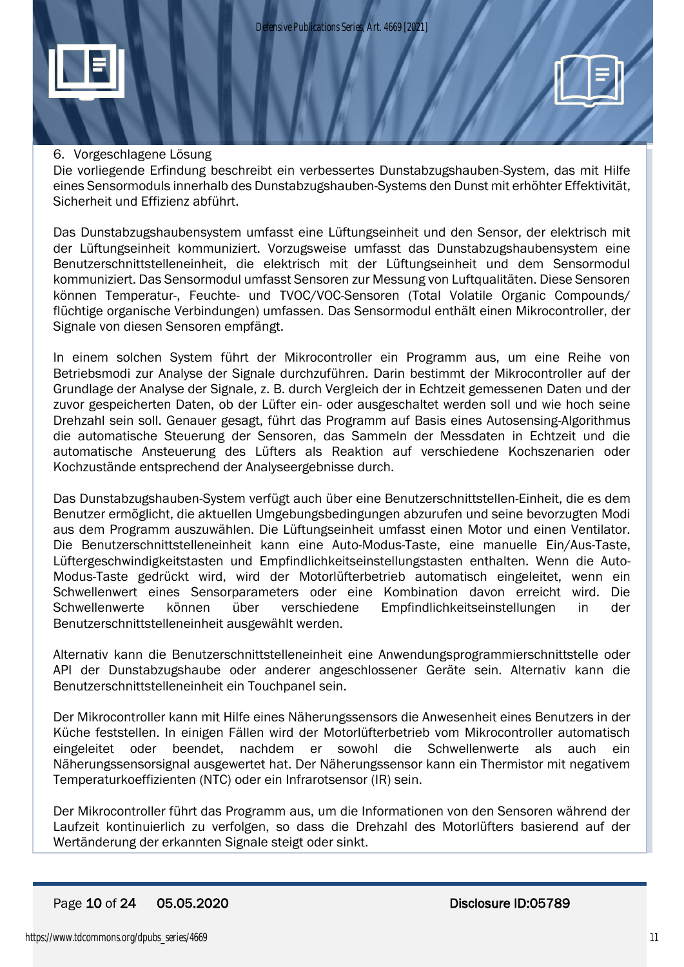

#### 6. Vorgeschlagene Lösung

Die vorliegende Erfindung beschreibt ein verbessertes Dunstabzugshauben-System, das mit Hilfe eines Sensormoduls innerhalb des Dunstabzugshauben-Systems den Dunst mit erhöhter Effektivität, Sicherheit und Effizienz abführt.

Das Dunstabzugshaubensystem umfasst eine Lüftungseinheit und den Sensor, der elektrisch mit der Lüftungseinheit kommuniziert. Vorzugsweise umfasst das Dunstabzugshaubensystem eine Benutzerschnittstelleneinheit, die elektrisch mit der Lüftungseinheit und dem Sensormodul kommuniziert. Das Sensormodul umfasst Sensoren zur Messung von Luftqualitäten. Diese Sensoren können Temperatur-, Feuchte- und TVOC/VOC-Sensoren (Total Volatile Organic Compounds/ flüchtige organische Verbindungen) umfassen. Das Sensormodul enthält einen Mikrocontroller, der Signale von diesen Sensoren empfängt.

In einem solchen System führt der Mikrocontroller ein Programm aus, um eine Reihe von Betriebsmodi zur Analyse der Signale durchzuführen. Darin bestimmt der Mikrocontroller auf der Grundlage der Analyse der Signale, z. B. durch Vergleich der in Echtzeit gemessenen Daten und der zuvor gespeicherten Daten, ob der Lüfter ein- oder ausgeschaltet werden soll und wie hoch seine Drehzahl sein soll. Genauer gesagt, führt das Programm auf Basis eines Autosensing-Algorithmus die automatische Steuerung der Sensoren, das Sammeln der Messdaten in Echtzeit und die automatische Ansteuerung des Lüfters als Reaktion auf verschiedene Kochszenarien oder Kochzustände entsprechend der Analyseergebnisse durch.

Das Dunstabzugshauben-System verfügt auch über eine Benutzerschnittstellen-Einheit, die es dem Benutzer ermöglicht, die aktuellen Umgebungsbedingungen abzurufen und seine bevorzugten Modi aus dem Programm auszuwählen. Die Lüftungseinheit umfasst einen Motor und einen Ventilator. Die Benutzerschnittstelleneinheit kann eine Auto-Modus-Taste, eine manuelle Ein/Aus-Taste, Lüftergeschwindigkeitstasten und Empfindlichkeitseinstellungstasten enthalten. Wenn die Auto-Modus-Taste gedrückt wird, wird der Motorlüfterbetrieb automatisch eingeleitet, wenn ein Schwellenwert eines Sensorparameters oder eine Kombination davon erreicht wird. Die Schwellenwerte können über verschiedene Empfindlichkeitseinstellungen in der Benutzerschnittstelleneinheit ausgewählt werden.

Alternativ kann die Benutzerschnittstelleneinheit eine Anwendungsprogrammierschnittstelle oder API der Dunstabzugshaube oder anderer angeschlossener Geräte sein. Alternativ kann die Benutzerschnittstelleneinheit ein Touchpanel sein.

Der Mikrocontroller kann mit Hilfe eines Näherungssensors die Anwesenheit eines Benutzers in der Küche feststellen. In einigen Fällen wird der Motorlüfterbetrieb vom Mikrocontroller automatisch eingeleitet oder beendet, nachdem er sowohl die Schwellenwerte als auch ein Näherungssensorsignal ausgewertet hat. Der Näherungssensor kann ein Thermistor mit negativem Temperaturkoeffizienten (NTC) oder ein Infrarotsensor (IR) sein.

Der Mikrocontroller führt das Programm aus, um die Informationen von den Sensoren während der Laufzeit kontinuierlich zu verfolgen, so dass die Drehzahl des Motorlüfters basierend auf der Wertänderung der erkannten Signale steigt oder sinkt.

#### Page 10 of 24 05.05.2020 Disclosure ID:05789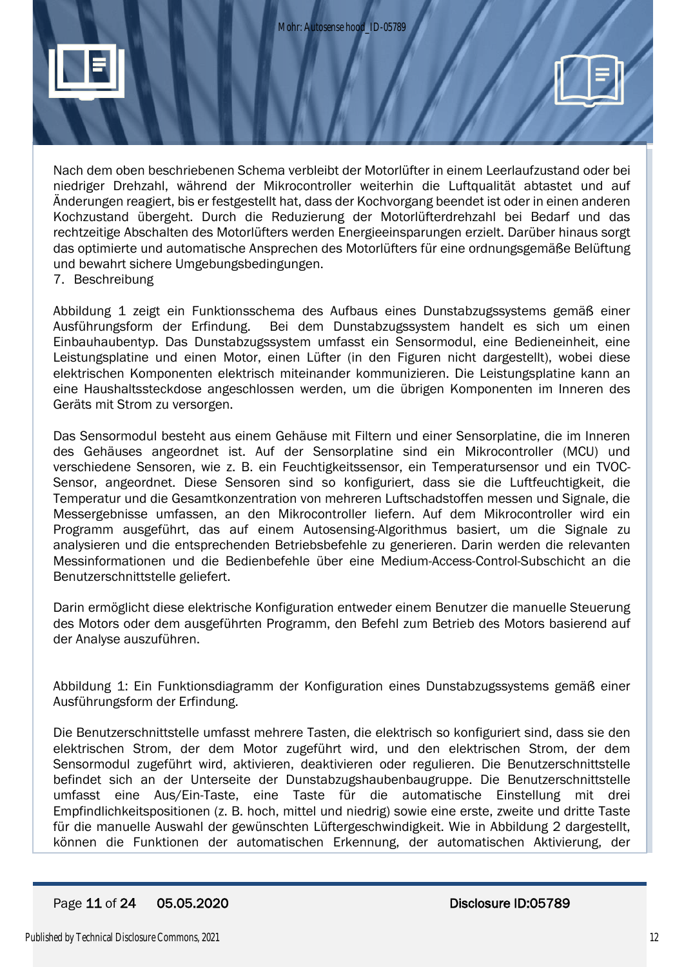

Nach dem oben beschriebenen Schema verbleibt der Motorlüfter in einem Leerlaufzustand oder bei niedriger Drehzahl, während der Mikrocontroller weiterhin die Luftqualität abtastet und auf Änderungen reagiert, bis er festgestellt hat, dass der Kochvorgang beendet ist oder in einen anderen Kochzustand übergeht. Durch die Reduzierung der Motorlüfterdrehzahl bei Bedarf und das rechtzeitige Abschalten des Motorlüfters werden Energieeinsparungen erzielt. Darüber hinaus sorgt das optimierte und automatische Ansprechen des Motorlüfters für eine ordnungsgemäße Belüftung und bewahrt sichere Umgebungsbedingungen.

7. Beschreibung

Abbildung 1 zeigt ein Funktionsschema des Aufbaus eines Dunstabzugssystems gemäß einer Ausführungsform der Erfindung. Bei dem Dunstabzugssystem handelt es sich um einen Einbauhaubentyp. Das Dunstabzugssystem umfasst ein Sensormodul, eine Bedieneinheit, eine Leistungsplatine und einen Motor, einen Lüfter (in den Figuren nicht dargestellt), wobei diese elektrischen Komponenten elektrisch miteinander kommunizieren. Die Leistungsplatine kann an eine Haushaltssteckdose angeschlossen werden, um die übrigen Komponenten im Inneren des Geräts mit Strom zu versorgen.

Das Sensormodul besteht aus einem Gehäuse mit Filtern und einer Sensorplatine, die im Inneren des Gehäuses angeordnet ist. Auf der Sensorplatine sind ein Mikrocontroller (MCU) und verschiedene Sensoren, wie z. B. ein Feuchtigkeitssensor, ein Temperatursensor und ein TVOC-Sensor, angeordnet. Diese Sensoren sind so konfiguriert, dass sie die Luftfeuchtigkeit, die Temperatur und die Gesamtkonzentration von mehreren Luftschadstoffen messen und Signale, die Messergebnisse umfassen, an den Mikrocontroller liefern. Auf dem Mikrocontroller wird ein Programm ausgeführt, das auf einem Autosensing-Algorithmus basiert, um die Signale zu analysieren und die entsprechenden Betriebsbefehle zu generieren. Darin werden die relevanten Messinformationen und die Bedienbefehle über eine Medium-Access-Control-Subschicht an die Benutzerschnittstelle geliefert.

Darin ermöglicht diese elektrische Konfiguration entweder einem Benutzer die manuelle Steuerung des Motors oder dem ausgeführten Programm, den Befehl zum Betrieb des Motors basierend auf der Analyse auszuführen.

Abbildung 1: Ein Funktionsdiagramm der Konfiguration eines Dunstabzugssystems gemäß einer Ausführungsform der Erfindung.

Die Benutzerschnittstelle umfasst mehrere Tasten, die elektrisch so konfiguriert sind, dass sie den elektrischen Strom, der dem Motor zugeführt wird, und den elektrischen Strom, der dem Sensormodul zugeführt wird, aktivieren, deaktivieren oder regulieren. Die Benutzerschnittstelle befindet sich an der Unterseite der Dunstabzugshaubenbaugruppe. Die Benutzerschnittstelle umfasst eine Aus/Ein-Taste, eine Taste für die automatische Einstellung mit drei Empfindlichkeitspositionen (z. B. hoch, mittel und niedrig) sowie eine erste, zweite und dritte Taste für die manuelle Auswahl der gewünschten Lüftergeschwindigkeit. Wie in Abbildung 2 dargestellt, können die Funktionen der automatischen Erkennung, der automatischen Aktivierung, der

#### Page 11 of 24 05.05.2020 Disclosure ID:05789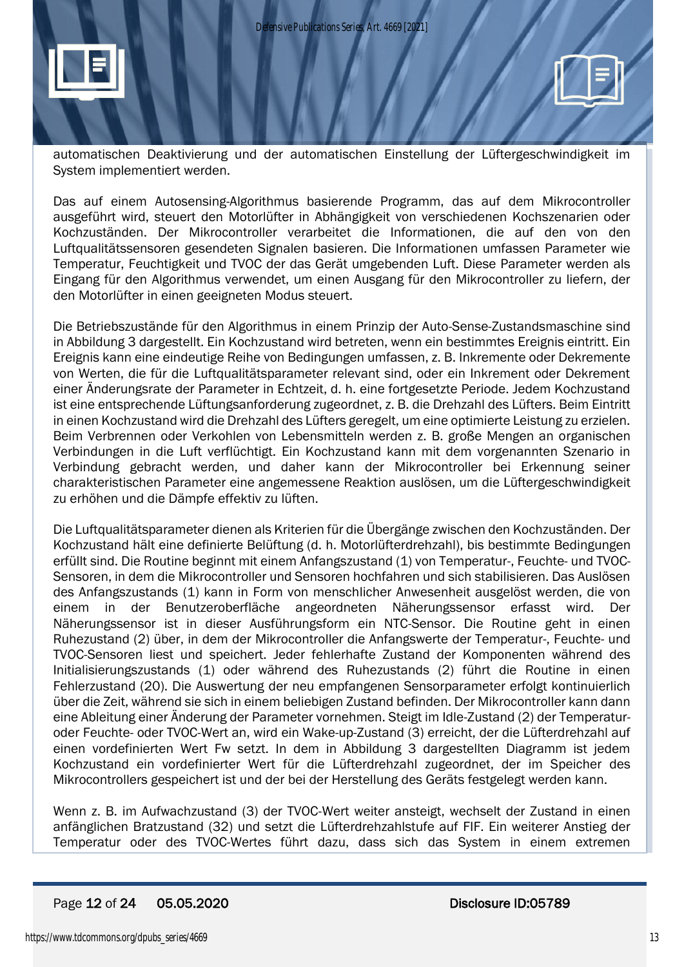

automatischen Deaktivierung und der automatischen Einstellung der Lüftergeschwindigkeit im System implementiert werden.

Das auf einem Autosensing-Algorithmus basierende Programm, das auf dem Mikrocontroller ausgeführt wird, steuert den Motorlüfter in Abhängigkeit von verschiedenen Kochszenarien oder Kochzuständen. Der Mikrocontroller verarbeitet die Informationen, die auf den von den Luftqualitätssensoren gesendeten Signalen basieren. Die Informationen umfassen Parameter wie Temperatur, Feuchtigkeit und TVOC der das Gerät umgebenden Luft. Diese Parameter werden als Eingang für den Algorithmus verwendet, um einen Ausgang für den Mikrocontroller zu liefern, der den Motorlüfter in einen geeigneten Modus steuert.

Die Betriebszustände für den Algorithmus in einem Prinzip der Auto-Sense-Zustandsmaschine sind in Abbildung 3 dargestellt. Ein Kochzustand wird betreten, wenn ein bestimmtes Ereignis eintritt. Ein Ereignis kann eine eindeutige Reihe von Bedingungen umfassen, z. B. Inkremente oder Dekremente von Werten, die für die Luftqualitätsparameter relevant sind, oder ein Inkrement oder Dekrement einer Änderungsrate der Parameter in Echtzeit, d. h. eine fortgesetzte Periode. Jedem Kochzustand ist eine entsprechende Lüftungsanforderung zugeordnet, z. B. die Drehzahl des Lüfters. Beim Eintritt in einen Kochzustand wird die Drehzahl des Lüfters geregelt, um eine optimierte Leistung zu erzielen. Beim Verbrennen oder Verkohlen von Lebensmitteln werden z. B. große Mengen an organischen Verbindungen in die Luft verflüchtigt. Ein Kochzustand kann mit dem vorgenannten Szenario in Verbindung gebracht werden, und daher kann der Mikrocontroller bei Erkennung seiner charakteristischen Parameter eine angemessene Reaktion auslösen, um die Lüftergeschwindigkeit zu erhöhen und die Dämpfe effektiv zu lüften.

Die Luftqualitätsparameter dienen als Kriterien für die Übergänge zwischen den Kochzuständen. Der Kochzustand hält eine definierte Belüftung (d. h. Motorlüfterdrehzahl), bis bestimmte Bedingungen erfüllt sind. Die Routine beginnt mit einem Anfangszustand (1) von Temperatur-, Feuchte- und TVOC-Sensoren, in dem die Mikrocontroller und Sensoren hochfahren und sich stabilisieren. Das Auslösen des Anfangszustands (1) kann in Form von menschlicher Anwesenheit ausgelöst werden, die von einem in der Benutzeroberfläche angeordneten Näherungssensor erfasst wird. Der Näherungssensor ist in dieser Ausführungsform ein NTC-Sensor. Die Routine geht in einen Ruhezustand (2) über, in dem der Mikrocontroller die Anfangswerte der Temperatur-, Feuchte- und TVOC-Sensoren liest und speichert. Jeder fehlerhafte Zustand der Komponenten während des Initialisierungszustands (1) oder während des Ruhezustands (2) führt die Routine in einen Fehlerzustand (20). Die Auswertung der neu empfangenen Sensorparameter erfolgt kontinuierlich über die Zeit, während sie sich in einem beliebigen Zustand befinden. Der Mikrocontroller kann dann eine Ableitung einer Änderung der Parameter vornehmen. Steigt im Idle-Zustand (2) der Temperaturoder Feuchte- oder TVOC-Wert an, wird ein Wake-up-Zustand (3) erreicht, der die Lüfterdrehzahl auf einen vordefinierten Wert Fw setzt. In dem in Abbildung 3 dargestellten Diagramm ist jedem Kochzustand ein vordefinierter Wert für die Lüfterdrehzahl zugeordnet, der im Speicher des Mikrocontrollers gespeichert ist und der bei der Herstellung des Geräts festgelegt werden kann.

Wenn z. B. im Aufwachzustand (3) der TVOC-Wert weiter ansteigt, wechselt der Zustand in einen anfänglichen Bratzustand (32) und setzt die Lüfterdrehzahlstufe auf FIF. Ein weiterer Anstieg der Temperatur oder des TVOC-Wertes führt dazu, dass sich das System in einem extremen

#### Page 12 of 24 05.05.2020 Disclosure ID:05789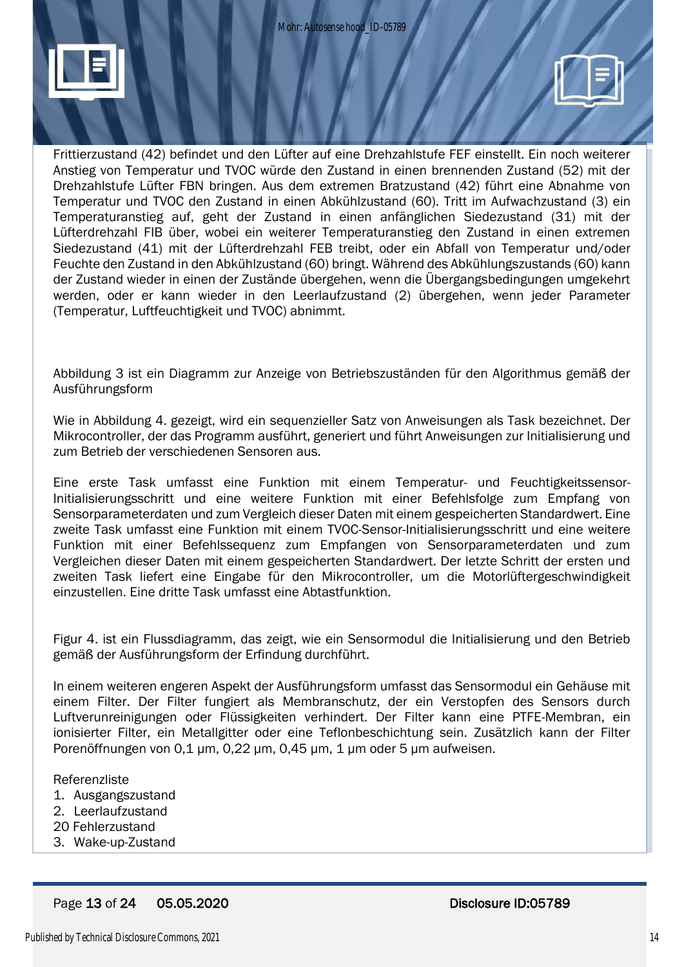

Frittierzustand (42) befindet und den Lüfter auf eine Drehzahlstufe FEF einstellt. Ein noch weiterer Anstieg von Temperatur und TVOC würde den Zustand in einen brennenden Zustand (52) mit der Drehzahlstufe Lüfter FBN bringen. Aus dem extremen Bratzustand (42) führt eine Abnahme von Temperatur und TVOC den Zustand in einen Abkühlzustand (60). Tritt im Aufwachzustand (3) ein Temperaturanstieg auf, geht der Zustand in einen anfänglichen Siedezustand (31) mit der Lüfterdrehzahl FIB über, wobei ein weiterer Temperaturanstieg den Zustand in einen extremen Siedezustand (41) mit der Lüfterdrehzahl FEB treibt, oder ein Abfall von Temperatur und/oder Feuchte den Zustand in den Abkühlzustand (60) bringt. Während des Abkühlungszustands (60) kann der Zustand wieder in einen der Zustände übergehen, wenn die Übergangsbedingungen umgekehrt werden, oder er kann wieder in den Leerlaufzustand (2) übergehen, wenn jeder Parameter (Temperatur, Luftfeuchtigkeit und TVOC) abnimmt.

Abbildung 3 ist ein Diagramm zur Anzeige von Betriebszuständen für den Algorithmus gemäß der Ausführungsform

Wie in Abbildung 4. gezeigt, wird ein sequenzieller Satz von Anweisungen als Task bezeichnet. Der Mikrocontroller, der das Programm ausführt, generiert und führt Anweisungen zur Initialisierung und zum Betrieb der verschiedenen Sensoren aus.

Eine erste Task umfasst eine Funktion mit einem Temperatur- und Feuchtigkeitssensor-Initialisierungsschritt und eine weitere Funktion mit einer Befehlsfolge zum Empfang von Sensorparameterdaten und zum Vergleich dieser Daten mit einem gespeicherten Standardwert. Eine zweite Task umfasst eine Funktion mit einem TVOC-Sensor-Initialisierungsschritt und eine weitere Funktion mit einer Befehlssequenz zum Empfangen von Sensorparameterdaten und zum Vergleichen dieser Daten mit einem gespeicherten Standardwert. Der letzte Schritt der ersten und zweiten Task liefert eine Eingabe für den Mikrocontroller, um die Motorlüftergeschwindigkeit einzustellen. Eine dritte Task umfasst eine Abtastfunktion.

Figur 4. ist ein Flussdiagramm, das zeigt, wie ein Sensormodul die Initialisierung und den Betrieb gemäß der Ausführungsform der Erfindung durchführt.

In einem weiteren engeren Aspekt der Ausführungsform umfasst das Sensormodul ein Gehäuse mit einem Filter. Der Filter fungiert als Membranschutz, der ein Verstopfen des Sensors durch Luftverunreinigungen oder Flüssigkeiten verhindert. Der Filter kann eine PTFE-Membran, ein ionisierter Filter, ein Metallgitter oder eine Teflonbeschichtung sein. Zusätzlich kann der Filter Porenöffnungen von 0,1 μm, 0,22 μm, 0,45 μm, 1 μm oder 5 μm aufweisen.

Referenzliste

- 1. Ausgangszustand
- 2. Leerlaufzustand
- 20 Fehlerzustand
- 3. Wake-up-Zustand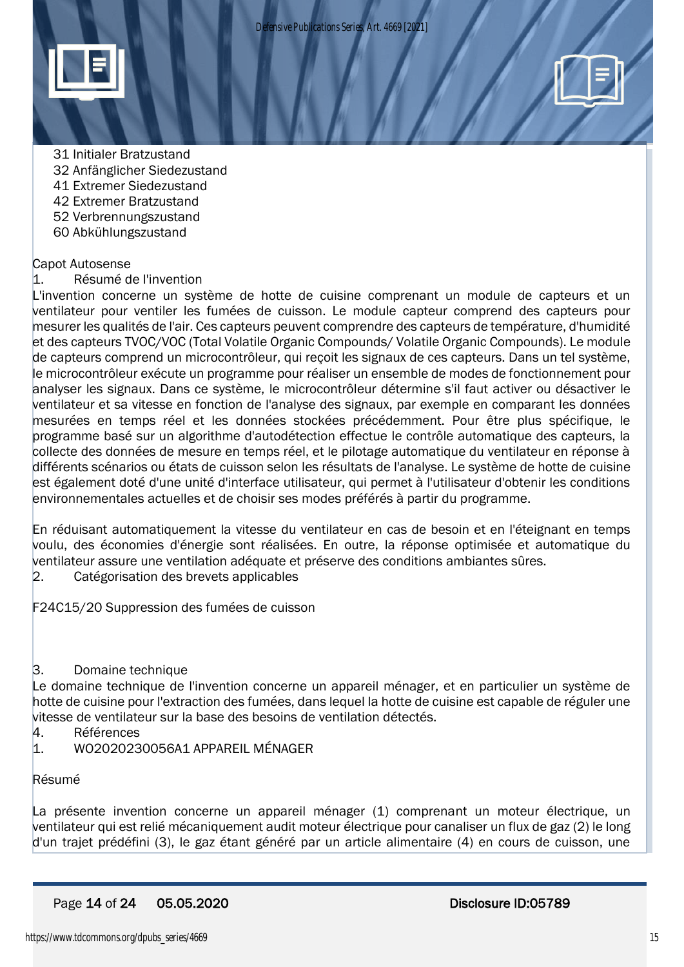

- 31 Initialer Bratzustand
- 32 Anfänglicher Siedezustand
- 41 Extremer Siedezustand
- 42 Extremer Bratzustand
- 52 Verbrennungszustand
- 60 Abkühlungszustand

#### Capot Autosense

1. Résumé de l'invention

L'invention concerne un système de hotte de cuisine comprenant un module de capteurs et un ventilateur pour ventiler les fumées de cuisson. Le module capteur comprend des capteurs pour mesurer les qualités de l'air. Ces capteurs peuvent comprendre des capteurs de température, d'humidité et des capteurs TVOC/VOC (Total Volatile Organic Compounds/ Volatile Organic Compounds). Le module de capteurs comprend un microcontrôleur, qui reçoit les signaux de ces capteurs. Dans un tel système, le microcontrôleur exécute un programme pour réaliser un ensemble de modes de fonctionnement pour analyser les signaux. Dans ce système, le microcontrôleur détermine s'il faut activer ou désactiver le ventilateur et sa vitesse en fonction de l'analyse des signaux, par exemple en comparant les données mesurées en temps réel et les données stockées précédemment. Pour être plus spécifique, le programme basé sur un algorithme d'autodétection effectue le contrôle automatique des capteurs, la collecte des données de mesure en temps réel, et le pilotage automatique du ventilateur en réponse à différents scénarios ou états de cuisson selon les résultats de l'analyse. Le système de hotte de cuisine est également doté d'une unité d'interface utilisateur, qui permet à l'utilisateur d'obtenir les conditions environnementales actuelles et de choisir ses modes préférés à partir du programme.

En réduisant automatiquement la vitesse du ventilateur en cas de besoin et en l'éteignant en temps voulu, des économies d'énergie sont réalisées. En outre, la réponse optimisée et automatique du ventilateur assure une ventilation adéquate et préserve des conditions ambiantes sûres.

2. Catégorisation des brevets applicables

F24C15/20 Suppression des fumées de cuisson

#### 3. Domaine technique

Le domaine technique de l'invention concerne un appareil ménager, et en particulier un système de hotte de cuisine pour l'extraction des fumées, dans lequel la hotte de cuisine est capable de réguler une vitesse de ventilateur sur la base des besoins de ventilation détectés.

- 4. Références
- 1. WO2020230056A1 APPAREIL MÉNAGER

#### Résumé

La présente invention concerne un appareil ménager (1) comprenant un moteur électrique, un ventilateur qui est relié mécaniquement audit moteur électrique pour canaliser un flux de gaz (2) le long d'un trajet prédéfini (3), le gaz étant généré par un article alimentaire (4) en cours de cuisson, une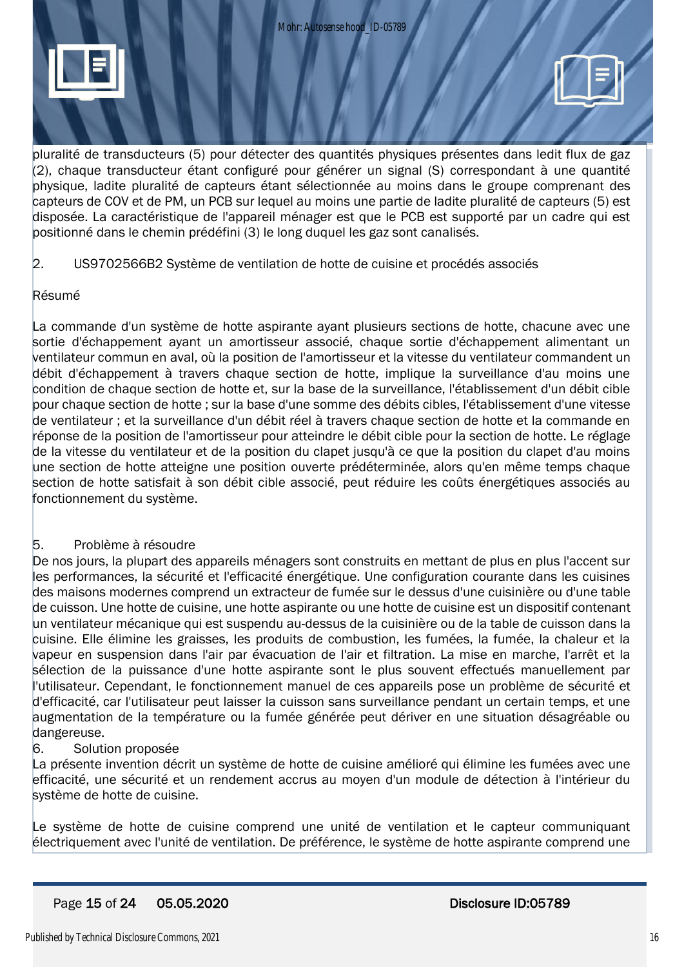



#### 2. US9702566B2 Système de ventilation de hotte de cuisine et procédés associés

#### Résumé

La commande d'un système de hotte aspirante ayant plusieurs sections de hotte, chacune avec une sortie d'échappement ayant un amortisseur associé, chaque sortie d'échappement alimentant un ventilateur commun en aval, où la position de l'amortisseur et la vitesse du ventilateur commandent un débit d'échappement à travers chaque section de hotte, implique la surveillance d'au moins une condition de chaque section de hotte et, sur la base de la surveillance, l'établissement d'un débit cible pour chaque section de hotte ; sur la base d'une somme des débits cibles, l'établissement d'une vitesse de ventilateur ; et la surveillance d'un débit réel à travers chaque section de hotte et la commande en réponse de la position de l'amortisseur pour atteindre le débit cible pour la section de hotte. Le réglage de la vitesse du ventilateur et de la position du clapet jusqu'à ce que la position du clapet d'au moins une section de hotte atteigne une position ouverte prédéterminée, alors qu'en même temps chaque section de hotte satisfait à son débit cible associé, peut réduire les coûts énergétiques associés au fonctionnement du système.

#### 5. Problème à résoudre

De nos jours, la plupart des appareils ménagers sont construits en mettant de plus en plus l'accent sur les performances, la sécurité et l'efficacité énergétique. Une configuration courante dans les cuisines des maisons modernes comprend un extracteur de fumée sur le dessus d'une cuisinière ou d'une table de cuisson. Une hotte de cuisine, une hotte aspirante ou une hotte de cuisine est un dispositif contenant un ventilateur mécanique qui est suspendu au-dessus de la cuisinière ou de la table de cuisson dans la cuisine. Elle élimine les graisses, les produits de combustion, les fumées, la fumée, la chaleur et la vapeur en suspension dans l'air par évacuation de l'air et filtration. La mise en marche, l'arrêt et la sélection de la puissance d'une hotte aspirante sont le plus souvent effectués manuellement par l'utilisateur. Cependant, le fonctionnement manuel de ces appareils pose un problème de sécurité et d'efficacité, car l'utilisateur peut laisser la cuisson sans surveillance pendant un certain temps, et une augmentation de la température ou la fumée générée peut dériver en une situation désagréable ou dangereuse.

#### 6. Solution proposée

La présente invention décrit un système de hotte de cuisine amélioré qui élimine les fumées avec une efficacité, une sécurité et un rendement accrus au moyen d'un module de détection à l'intérieur du système de hotte de cuisine.

Le système de hotte de cuisine comprend une unité de ventilation et le capteur communiquant électriquement avec l'unité de ventilation. De préférence, le système de hotte aspirante comprend une

#### Page 15 of 24 05.05.2020 Disclosure ID:05789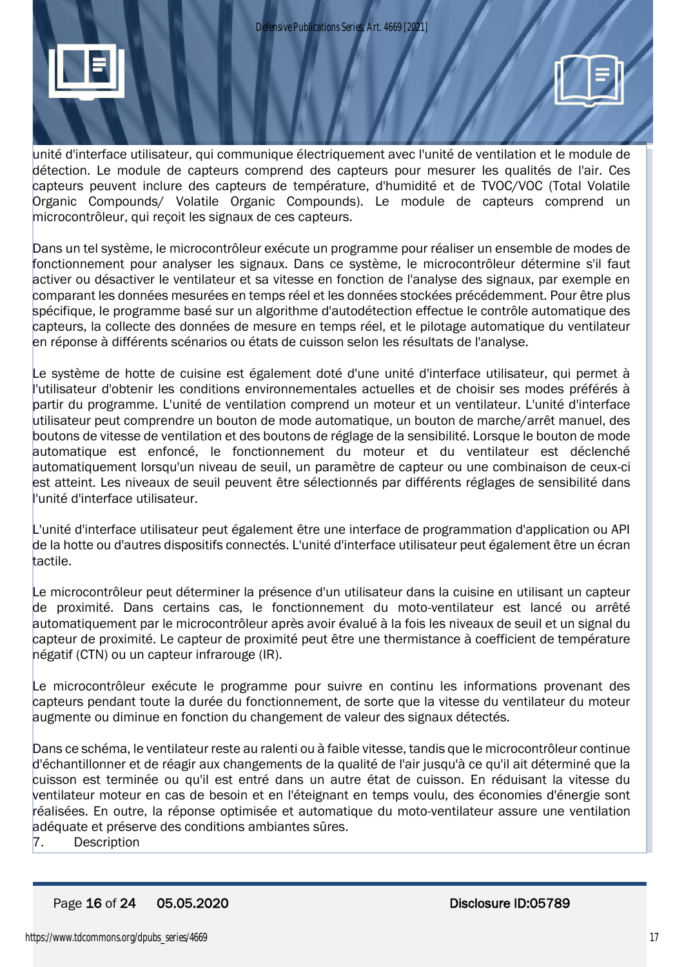

unité d'interface utilisateur, qui communique électriquement avec l'unité de ventilation et le module de détection. Le module de capteurs comprend des capteurs pour mesurer les qualités de l'air. Ces capteurs peuvent inclure des capteurs de température, d'humidité et de TVOC/VOC (Total Volatile Organic Compounds/ Volatile Organic Compounds). Le module de capteurs comprend un microcontrôleur, qui reçoit les signaux de ces capteurs.

Dans un tel système, le microcontrôleur exécute un programme pour réaliser un ensemble de modes de fonctionnement pour analyser les signaux. Dans ce système, le microcontrôleur détermine s'il faut activer ou désactiver le ventilateur et sa vitesse en fonction de l'analyse des signaux, par exemple en comparant les données mesurées en temps réel et les données stockées précédemment. Pour être plus spécifique, le programme basé sur un algorithme d'autodétection effectue le contrôle automatique des capteurs, la collecte des données de mesure en temps réel, et le pilotage automatique du ventilateur en réponse à différents scénarios ou états de cuisson selon les résultats de l'analyse.

Le système de hotte de cuisine est également doté d'une unité d'interface utilisateur, qui permet à l'utilisateur d'obtenir les conditions environnementales actuelles et de choisir ses modes préférés à partir du programme. L'unité de ventilation comprend un moteur et un ventilateur. L'unité d'interface utilisateur peut comprendre un bouton de mode automatique, un bouton de marche/arrêt manuel, des boutons de vitesse de ventilation et des boutons de réglage de la sensibilité. Lorsque le bouton de mode automatique est enfoncé, le fonctionnement du moteur et du ventilateur est déclenché automatiquement lorsqu'un niveau de seuil, un paramètre de capteur ou une combinaison de ceux-ci est atteint. Les niveaux de seuil peuvent être sélectionnés par différents réglages de sensibilité dans l'unité d'interface utilisateur.

L'unité d'interface utilisateur peut également être une interface de programmation d'application ou API de la hotte ou d'autres dispositifs connectés. L'unité d'interface utilisateur peut également être un écran tactile.

Le microcontrôleur peut déterminer la présence d'un utilisateur dans la cuisine en utilisant un capteur de proximité. Dans certains cas, le fonctionnement du moto-ventilateur est lancé ou arrêté automatiquement par le microcontrôleur après avoir évalué à la fois les niveaux de seuil et un signal du capteur de proximité. Le capteur de proximité peut être une thermistance à coefficient de température négatif (CTN) ou un capteur infrarouge (IR).

Le microcontrôleur exécute le programme pour suivre en continu les informations provenant des capteurs pendant toute la durée du fonctionnement, de sorte que la vitesse du ventilateur du moteur augmente ou diminue en fonction du changement de valeur des signaux détectés.

Dans ce schéma, le ventilateur reste au ralenti ou à faible vitesse, tandis que le microcontrôleur continue d'échantillonner et de réagir aux changements de la qualité de l'air jusqu'à ce qu'il ait déterminé que la cuisson est terminée ou qu'il est entré dans un autre état de cuisson. En réduisant la vitesse du ventilateur moteur en cas de besoin et en l'éteignant en temps voulu, des économies d'énergie sont réalisées. En outre, la réponse optimisée et automatique du moto-ventilateur assure une ventilation adéquate et préserve des conditions ambiantes sûres.

7. Description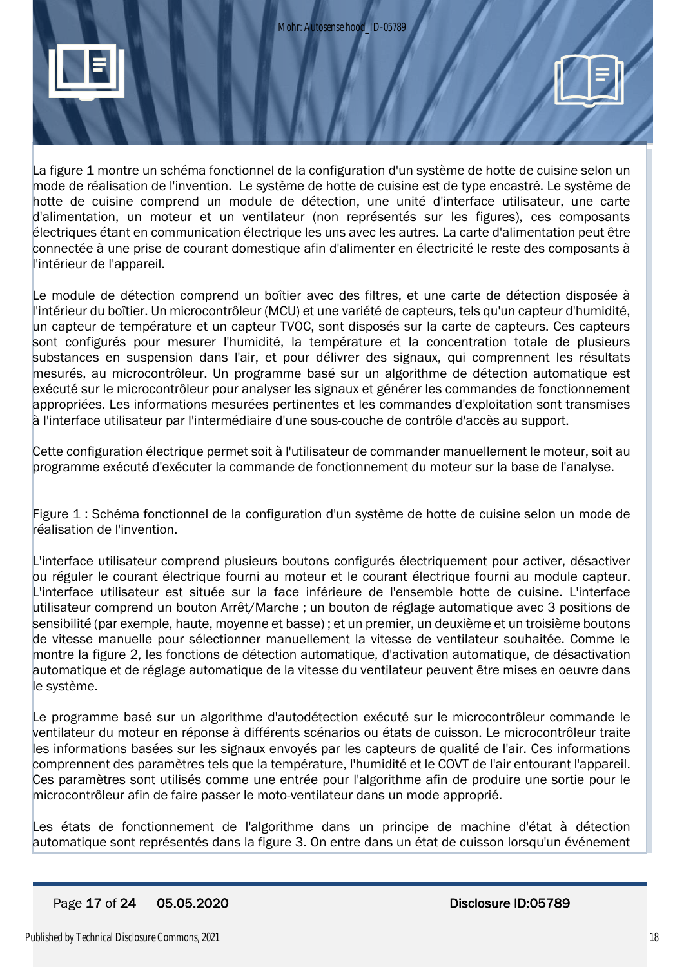

La figure 1 montre un schéma fonctionnel de la configuration d'un système de hotte de cuisine selon un mode de réalisation de l'invention. Le système de hotte de cuisine est de type encastré. Le système de hotte de cuisine comprend un module de détection, une unité d'interface utilisateur, une carte d'alimentation, un moteur et un ventilateur (non représentés sur les figures), ces composants électriques étant en communication électrique les uns avec les autres. La carte d'alimentation peut être connectée à une prise de courant domestique afin d'alimenter en électricité le reste des composants à l'intérieur de l'appareil.

Le module de détection comprend un boîtier avec des filtres, et une carte de détection disposée à l'intérieur du boîtier. Un microcontrôleur (MCU) et une variété de capteurs, tels qu'un capteur d'humidité, un capteur de température et un capteur TVOC, sont disposés sur la carte de capteurs. Ces capteurs sont configurés pour mesurer l'humidité, la température et la concentration totale de plusieurs substances en suspension dans l'air, et pour délivrer des signaux, qui comprennent les résultats mesurés, au microcontrôleur. Un programme basé sur un algorithme de détection automatique est exécuté sur le microcontrôleur pour analyser les signaux et générer les commandes de fonctionnement appropriées. Les informations mesurées pertinentes et les commandes d'exploitation sont transmises à l'interface utilisateur par l'intermédiaire d'une sous-couche de contrôle d'accès au support.

Cette configuration électrique permet soit à l'utilisateur de commander manuellement le moteur, soit au programme exécuté d'exécuter la commande de fonctionnement du moteur sur la base de l'analyse.

Figure 1 : Schéma fonctionnel de la configuration d'un système de hotte de cuisine selon un mode de réalisation de l'invention.

L'interface utilisateur comprend plusieurs boutons configurés électriquement pour activer, désactiver ou réguler le courant électrique fourni au moteur et le courant électrique fourni au module capteur. L'interface utilisateur est située sur la face inférieure de l'ensemble hotte de cuisine. L'interface utilisateur comprend un bouton Arrêt/Marche ; un bouton de réglage automatique avec 3 positions de sensibilité (par exemple, haute, moyenne et basse) ; et un premier, un deuxième et un troisième boutons de vitesse manuelle pour sélectionner manuellement la vitesse de ventilateur souhaitée. Comme le montre la figure 2, les fonctions de détection automatique, d'activation automatique, de désactivation automatique et de réglage automatique de la vitesse du ventilateur peuvent être mises en oeuvre dans le système.

Le programme basé sur un algorithme d'autodétection exécuté sur le microcontrôleur commande le ventilateur du moteur en réponse à différents scénarios ou états de cuisson. Le microcontrôleur traite les informations basées sur les signaux envoyés par les capteurs de qualité de l'air. Ces informations comprennent des paramètres tels que la température, l'humidité et le COVT de l'air entourant l'appareil. Ces paramètres sont utilisés comme une entrée pour l'algorithme afin de produire une sortie pour le microcontrôleur afin de faire passer le moto-ventilateur dans un mode approprié.

Les états de fonctionnement de l'algorithme dans un principe de machine d'état à détection automatique sont représentés dans la figure 3. On entre dans un état de cuisson lorsqu'un événement

## Page 17 of 24 05.05.2020 Disclosure ID:05789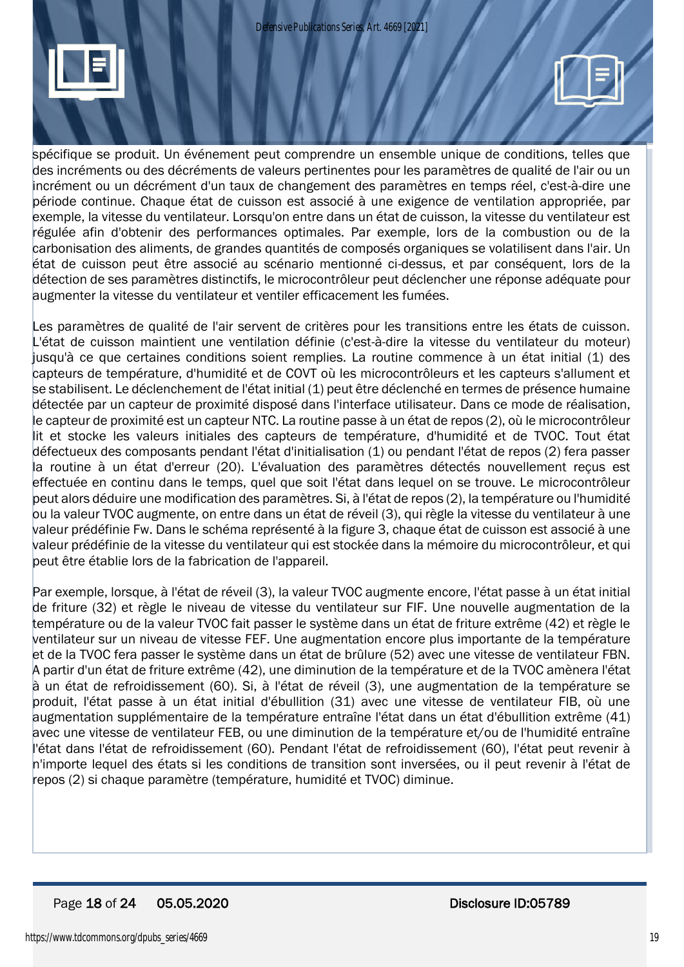*Defensive Publications Series, Art. 4669 [2021]*





spécifique se produit. Un événement peut comprendre un ensemble unique de conditions, telles que des incréments ou des décréments de valeurs pertinentes pour les paramètres de qualité de l'air ou un incrément ou un décrément d'un taux de changement des paramètres en temps réel, c'est-à-dire une période continue. Chaque état de cuisson est associé à une exigence de ventilation appropriée, par exemple, la vitesse du ventilateur. Lorsqu'on entre dans un état de cuisson, la vitesse du ventilateur est régulée afin d'obtenir des performances optimales. Par exemple, lors de la combustion ou de la carbonisation des aliments, de grandes quantités de composés organiques se volatilisent dans l'air. Un état de cuisson peut être associé au scénario mentionné ci-dessus, et par conséquent, lors de la détection de ses paramètres distinctifs, le microcontrôleur peut déclencher une réponse adéquate pour augmenter la vitesse du ventilateur et ventiler efficacement les fumées.

Les paramètres de qualité de l'air servent de critères pour les transitions entre les états de cuisson. L'état de cuisson maintient une ventilation définie (c'est-à-dire la vitesse du ventilateur du moteur) jusqu'à ce que certaines conditions soient remplies. La routine commence à un état initial (1) des capteurs de température, d'humidité et de COVT où les microcontrôleurs et les capteurs s'allument et se stabilisent. Le déclenchement de l'état initial (1) peut être déclenché en termes de présence humaine détectée par un capteur de proximité disposé dans l'interface utilisateur. Dans ce mode de réalisation, le capteur de proximité est un capteur NTC. La routine passe à un état de repos (2), où le microcontrôleur lit et stocke les valeurs initiales des capteurs de température, d'humidité et de TVOC. Tout état défectueux des composants pendant l'état d'initialisation (1) ou pendant l'état de repos (2) fera passer la routine à un état d'erreur (20). L'évaluation des paramètres détectés nouvellement reçus est effectuée en continu dans le temps, quel que soit l'état dans lequel on se trouve. Le microcontrôleur peut alors déduire une modification des paramètres. Si, à l'état de repos (2), la température ou l'humidité ou la valeur TVOC augmente, on entre dans un état de réveil (3), qui règle la vitesse du ventilateur à une valeur prédéfinie Fw. Dans le schéma représenté à la figure 3, chaque état de cuisson est associé à une valeur prédéfinie de la vitesse du ventilateur qui est stockée dans la mémoire du microcontrôleur, et qui peut être établie lors de la fabrication de l'appareil.

Par exemple, lorsque, à l'état de réveil (3), la valeur TVOC augmente encore, l'état passe à un état initial de friture (32) et règle le niveau de vitesse du ventilateur sur FIF. Une nouvelle augmentation de la température ou de la valeur TVOC fait passer le système dans un état de friture extrême (42) et règle le ventilateur sur un niveau de vitesse FEF. Une augmentation encore plus importante de la température et de la TVOC fera passer le système dans un état de brûlure (52) avec une vitesse de ventilateur FBN. A partir d'un état de friture extrême (42), une diminution de la température et de la TVOC amènera l'état à un état de refroidissement (60). Si, à l'état de réveil (3), une augmentation de la température se produit, l'état passe à un état initial d'ébullition (31) avec une vitesse de ventilateur FIB, où une augmentation supplémentaire de la température entraîne l'état dans un état d'ébullition extrême (41) avec une vitesse de ventilateur FEB, ou une diminution de la température et/ou de l'humidité entraîne l'état dans l'état de refroidissement (60). Pendant l'état de refroidissement (60), l'état peut revenir à n'importe lequel des états si les conditions de transition sont inversées, ou il peut revenir à l'état de repos (2) si chaque paramètre (température, humidité et TVOC) diminue.

## Page 18 of 24 05.05.2020 Disclosure ID:05789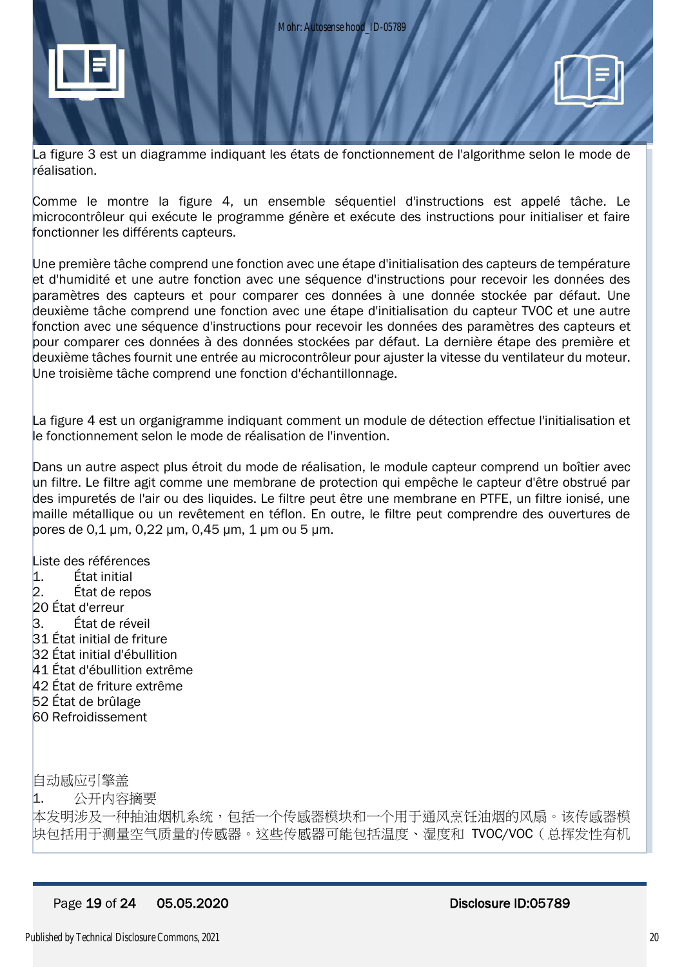



La figure 3 est un diagramme indiquant les états de fonctionnement de l'algorithme selon le mode de réalisation.

Comme le montre la figure 4, un ensemble séquentiel d'instructions est appelé tâche. Le microcontrôleur qui exécute le programme génère et exécute des instructions pour initialiser et faire fonctionner les différents capteurs.

Une première tâche comprend une fonction avec une étape d'initialisation des capteurs de température et d'humidité et une autre fonction avec une séquence d'instructions pour recevoir les données des paramètres des capteurs et pour comparer ces données à une donnée stockée par défaut. Une deuxième tâche comprend une fonction avec une étape d'initialisation du capteur TVOC et une autre fonction avec une séquence d'instructions pour recevoir les données des paramètres des capteurs et pour comparer ces données à des données stockées par défaut. La dernière étape des première et deuxième tâches fournit une entrée au microcontrôleur pour ajuster la vitesse du ventilateur du moteur. Une troisième tâche comprend une fonction d'échantillonnage.

La figure 4 est un organigramme indiquant comment un module de détection effectue l'initialisation et le fonctionnement selon le mode de réalisation de l'invention.

Dans un autre aspect plus étroit du mode de réalisation, le module capteur comprend un boîtier avec un filtre. Le filtre agit comme une membrane de protection qui empêche le capteur d'être obstrué par des impuretés de l'air ou des liquides. Le filtre peut être une membrane en PTFE, un filtre ionisé, une maille métallique ou un revêtement en téflon. En outre, le filtre peut comprendre des ouvertures de pores de 0,1 μm, 0,22 μm, 0,45 μm, 1 μm ou 5 μm.

Liste des références 1. État initial 2. État de repos 20 État d'erreur 3. État de réveil 31 État initial de friture 32 État initial d'ébullition 41 État d'ébullition extrême 42 État de friture extrême 52 État de brûlage 60 Refroidissement

自动感应引擎盖

1. 公开内容摘要

本发明涉及一种抽油烟机系统,包括一个传感器模块和一个用于通风烹饪油烟的风扇。该传感器模 块包括用于测量空气质量的传感器。这些传感器可能包括温度、湿度和 TVOC/VOC(总挥发性有机

#### Page 19 of 24 05.05.2020 Disclosure ID:05789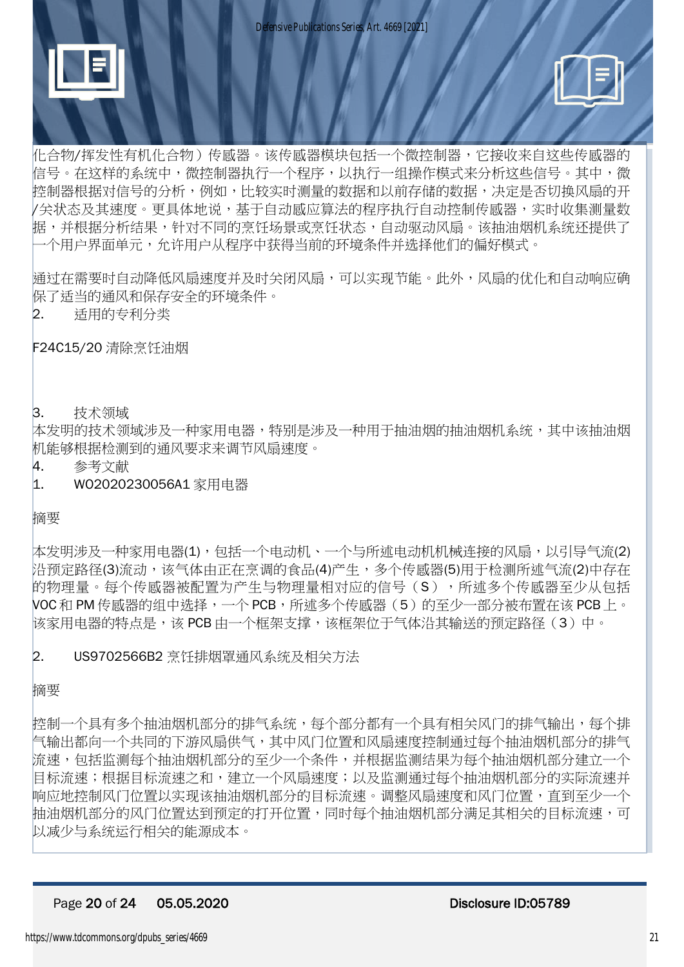



化合物/挥发性有机化合物)传感器。该传感器模块包括一个微控制器,它接收来自这些传感器的 信号。在这样的系统中,微控制器执行一个程序,以执行一组操作模式来分析这些信号。其中,微 控制器根据对信号的分析,例如,比较实时测量的数据和以前存储的数据,决定是否切换风扇的开 /关状态及其速度。更具体地说,基于自动感应算法的程序执行自动控制传感器,实时收集测量数 据,并根据分析结果,针对不同的烹饪场景或烹饪状态,自动驱动风扇。该抽油烟机系统还提供了 一个用户界面单元,允许用户从程序中获得当前的环境条件并选择他们的偏好模式。

通过在需要时自动降低风扇速度并及时关闭风扇,可以实现节能。此外,风扇的优化和自动响应确 保了适当的通风和保存安全的环境条件。

### 2. 适用的专利分类

F24C15/20 清除烹饪油烟

#### 3. 技术领域

本发明的技术领域涉及一种实用电器,特别是涉及一种用于抽油烟的抽油烟机系统,其中该抽油烟 机能够根据检测到的通风要求来调节风扇速度。

- 4. 参考文献
- 1. WO2020230056A1 家用电器

摘要

本发明涉及一种家用电器(1),包括一个电动机、一个与所述电动机机械连接的风扇,以引导气流(2) 沿预定路径(3)流动,该气体由正在烹调的食品(4)产生,多个传感器(5)用于检测所述气流(2)中存在 的物理量。每个传感器被配置为产生与物理量相对应的信号(S),所述多个传感器至少从包括 VOC 和 PM 传感器的组中选择,一个 PCB,所述多个传感器(5)的至少一部分被布置在该 PCB 上。 该家用电器的特点是,该 PCB 由一个框架支撑,该框架位于气体沿其输送的预定路径(3)中。

## 2. US9702566B2 烹饪排烟罩通风系统及相关方法

摘要

控制一个具有多个抽油烟机部分的排气系统,每个部分都有一个具有相关风门的排气输出,每个排 气输出都向一个共同的下游风扇供气,其中风门位置和风扇速度控制通过每个抽油烟机部分的排气 流速,包括监测每个抽油烟机部分的至少一个条件,并根据监测结果为每个抽油烟机部分建立一个 目标流速;根据目标流速之和,建立一个风扇速度;以及监测通过每个抽油烟机部分的实际流速并 响应地控制风门位置以实现该抽油烟机部分的目标流速。调整风扇速度和风门位置,直到至少一个 抽油烟机部分的风门位置达到预定的打开位置,同时每个抽油烟机部分满足其相关的目标流速,可 以减少与系统运行相关的能源成本。

#### Page 20 of 24 05.05.2020 Disclosure ID:05789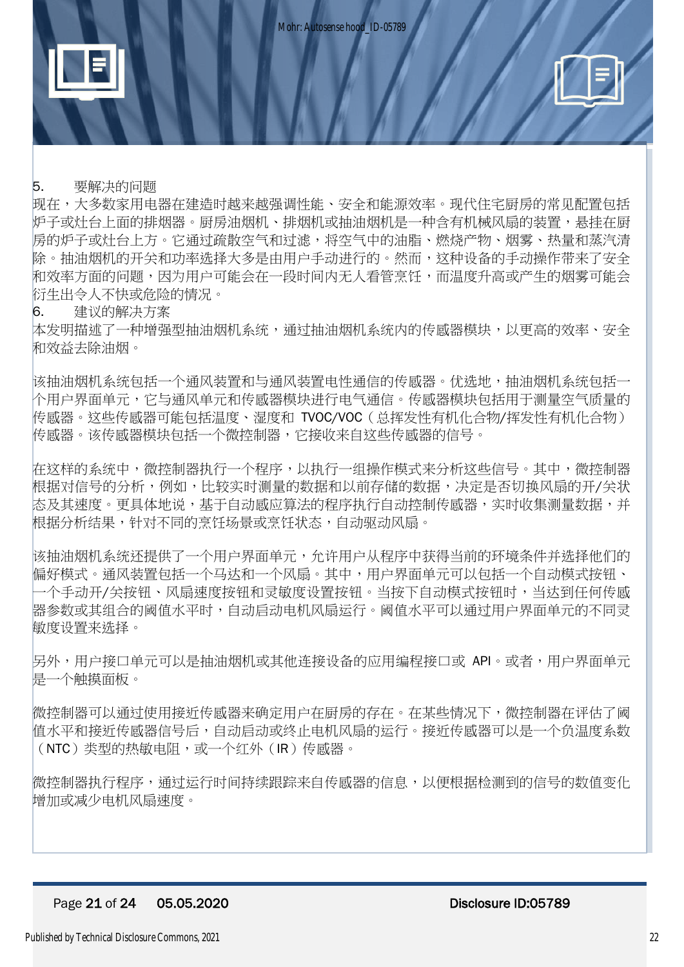

## 5. 要解决的问题

现在,大多数家用电器在建造时越来越强调性能、安全和能源效率。现代住宅厨房的常见配置包括 炉子或灶台上面的排烟器。厨房油烟机、排烟机或抽油烟机是一种含有机械风扇的装置,悬挂在厨 房的炉子或灶台上方。它通过疏散空气和过滤,将空气中的油脂、燃烧产物、烟雾、热量和蒸汽清 除。抽油烟机的开关和功率洗择大多是由用户手动进行的。然而,这种设备的手动操作带来了安全 和效率方面的问题,因为用户可能会在一段时间内无人看管烹饪,而温度升高或产生的烟雾可能会 衍生出令人不快或危险的情况。

### 6. 建议的解决方案

本发明描述了一种增强型抽油烟机系统,通过抽油烟机系统内的传感器模块,以更高的效率、安全 和效益去除油烟。

该抽油烟机系统包括一个通风装置和与通风装置电性通信的传感器。优选地,抽油烟机系统包括一 个用户界面单元,它与通风单元和传感器模块进行电气通信。传感器模块包括用于测量空气质量的 传感器。这些传感器可能包括温度、湿度和 TVOC/VOC(总挥发性有机化合物/挥发性有机化合物) 传感器。该传感器模块包括一个微控制器,它接收来自这些传感器的信号。

在这样的系统中,微控制器执行一个程序,以执行一组操作模式来分析这些信号。其中,微控制器 根据对信号的分析,例如,比较实时测量的数据和以前存储的数据,决定是否切换风扇的开/关状 **态及其速度。更具体地说,基于自动感应算法的程序执行自动控制传感器,实时收集测量数据,并** 根据分析结果,针对不同的烹饪场景或烹饪状态,自动驱动风扇。

该抽油烟机系统还提供了一个用户界面单元,允许用户从程序中获得当前的环境条件并选择他们的 偏好模式。通风装置包括一个马达和一个风扇。其中,用户界面单元可以包括一个自动模式按钮、 一个手动开/关按钮、风扇速度按钮和灵敏度设置按钮。当按下自动模式按钮时,当达到任何传感 器参数或其组合的阈值水平时,自动启动电机风扇运行。阈值水平可以通过用户界面单元的不同灵 敏度设置来选择。

另外,用户接口单元可以是抽油烟机或其他连接设备的应用编程接口或 API。或者,用户界面单元 是一个触摸面板。

微控制器可以通过使用接近传感器来确定用户在厨房的存在。在某些情况下,微控制器在评估了阈 值水平和接近传感器信号后,自动启动或终止电机风扇的运行。接近传感器可以是一个负温度系数 (NTC)类型的热敏电阻,或一个红外(IR)传感器。

微控制器执行程序,通过运行时间持续跟踪来自传感器的信息,以便根据检测到的信号的数值变化 增加或减少电机风扇速度。

#### Page 21 of 24 05.05.2020 Disclosure ID:05789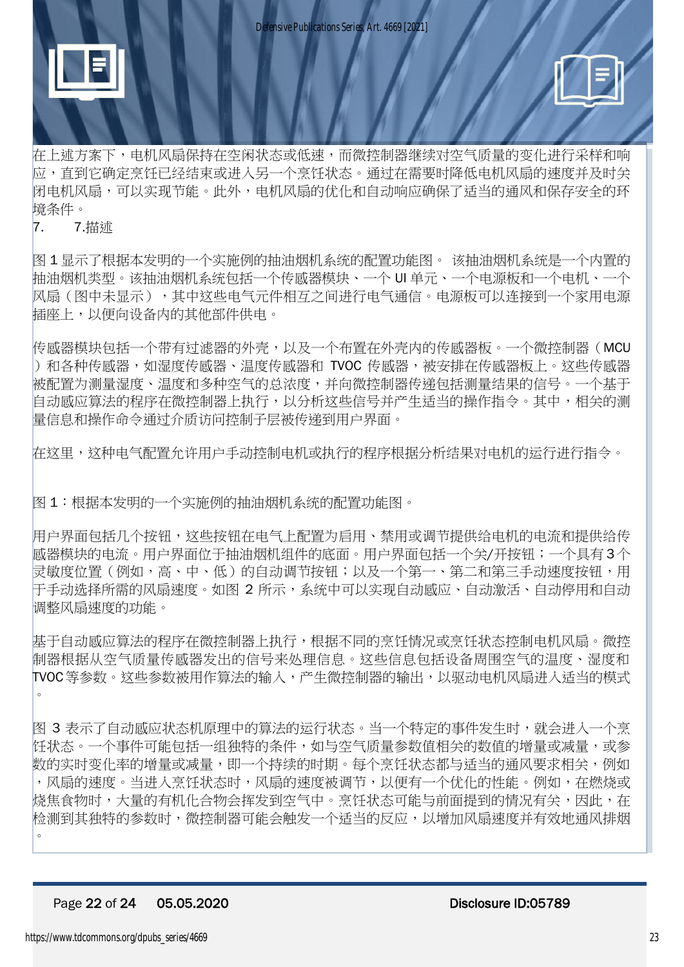



在上述方案下,电机风扇保持在空闲状态或低速,而微控制器继续对空气质量的变化进行采样和响 应,直到它确定烹饪已经结束或进入另一个烹饪状态。通过在需要时降低电机风扇的速度并及时关 闭电机风扇,可以实现节能。此外,电机风扇的优化和自动响应确保了适当的通风和保存安全的环 境条件。

7. 7.描述

图 1 显示了根据本发明的一个实施例的抽油烟机系统的配置功能图。 该抽油烟机系统是一个内置的 抽油烟机类型。该抽油烟机系统包括一个传感器模块、一个 UI 单元、一个电源板和一个电机、一个 风扇(图中未显示),其中这些电气元件相互之间进行电气通信。电源板可以连接到一个家用电源 插座上,以便向设备内的其他部件供电。

传感器模块包括一个带有过滤器的外壳,以及一个布置在外壳内的传感器板。一个微控制器(MCU )和各种传感器,如湿度传感器、温度传感器和 TVOC 传感器,被安排在传感器板上。这些传感器 被配置为测量湿度、温度和多种空气的总浓度,并向微控制器传递包括测量结果的信号。一个基于 自动感应算法的程序在微控制器上执行,以分析这些信号并产生适当的操作指令。其中,相关的测 量信息和操作命令通过介质访问控制子层被传递到用户界面。

在这里,这种电气配置允许用户手动控制电机或执行的程序根据分析结果对电机的运行进行指令。

图 1:根据本发明的一个实施例的抽油烟机系统的配置功能图。

用户界面包括几个按钮,这些按钮在电气上配置为启用、禁用或调节提供给电机的电流和提供给传 感器模块的电流。用户界面位于抽油烟机组件的底面。用户界面包括一个关/开按钮;一个具有 3个 灵敏度位置(例如,高、中、低)的自动调节按钮;以及一个第一、第二和第三手动速度按钮,用 干手动选择所需的风扇速度。如图 2 所示,系统中可以实现自动感应、自动激活、自动停用和自动 调整风扇速度的功能。

基于自动感应算法的程序在微控制器上执行,根据不同的烹饪情况或烹饪状态控制电机风扇。微控 制器根据从空气质量传感器发出的信号来处理信息。这些信息包括设备周围空气的温度、湿度和 TVOC等参数。这些参数被用作算法的输入,产生微控制器的输出,以驱动电机风扇进入适当的模式 。

图 3 表示了自动感应状态机原理中的算法的运行状态。当一个特定的事件发生时,就会进入一个烹 饪状态。一个事件可能包括一组独特的条件,如与空气质量参数值相关的数值的增量或减量,或参 数的实时变化率的增量或减量,即一个持续的时期。每个烹饪状态都与适当的通风要求相关,例如 ,风扇的速度。当进入烹饪状态时,风扇的速度被调节,以便有一个优化的性能。例如,在燃烧或 烧焦食物时,大量的有机化合物会挥发到空气中。烹饪状态可能与前面提到的情况有关,因此,在 检测到其独特的参数时,微控制器可能会触发一个适当的反应,以增加风扇速度并有效地通风排烟 。

#### Page 22 of 24 05.05.2020 Disclosure ID:05789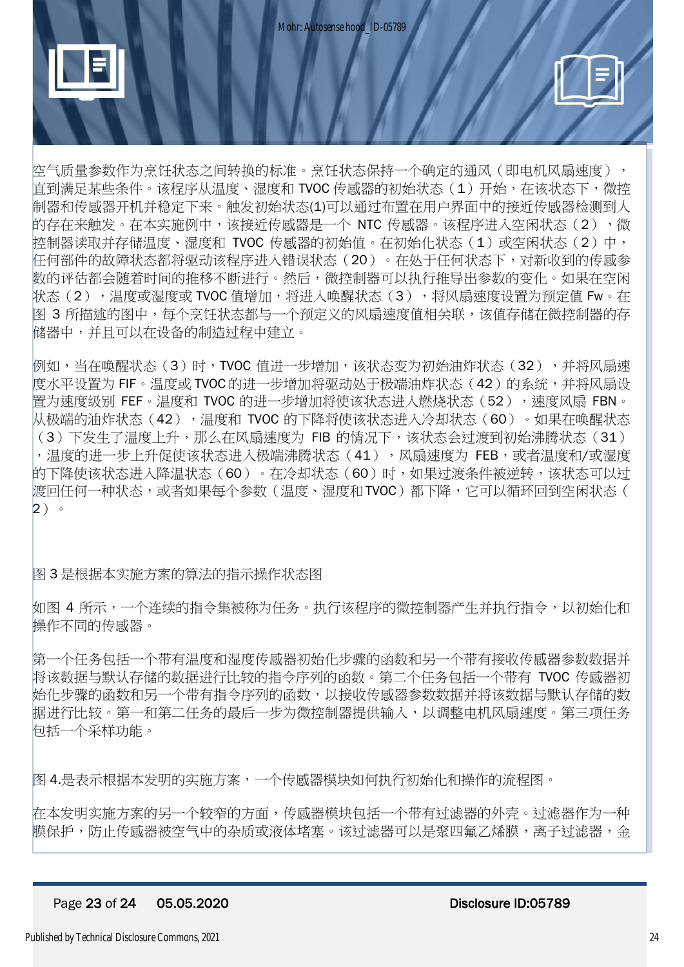



空气质量参数作为烹饪状态之间转换的标准。烹饪状态保持一个确定的通风(即电机风扇速度), 直到满足某些条件。该程序从温度、湿度和 TVOC 传感器的初始状态(1)开始,在该状态下,微控 制器和传感器开机并稳定下来。触发初始状态(1)可以通过布置在用户界面中的接近传感器检测到人 的存在来触发。在本实施例中,该接近传感器是一个 NTC 传感器。该程序进入空闲状态(2), 微 控制器读取并存储温度、湿度和 TVOC 传感器的初始值。在初始化状态(1)或空闲状态(2)中, 任何部件的故障状态都将驱动该程序进入错误状态(20)。在处于任何状态下,对新收到的传感参 数的评估都会随着时间的推移不断进行。然后,微控制器可以执行推导出参数的变化。如果在空闲 状态(2),温度或湿度或 TVOC 值增加,将进入唤醒状态(3),将风扇速度设置为预定值 Fw。在 图 3 所描述的图中,每个烹饪状态都与一个预定义的风扇速度值相关联,该值存储在微控制器的存 储器中,并且可以在设备的制造过程中建立。

例如,当在唤醒状态(3)时,TVOC 值进一步增加,该状态变为初始油炸状态(32),并将风扇速 度水平设置为 FIF。温度或 TVOC 的进一步增加将驱动处于极端油炸状态(42)的系统,并将风扇设 置为速度级别 FEF。温度和 TVOC 的进一步增加将使该状态进入燃烧状态(52),速度风扇 FBN。 从极端的油炸状态(42),温度和 TVOC 的下降将使该状态进入冷却状态(60)。如果在唤醒状态 (3)下发生了温度上升,那么在风扇速度为 FIB 的情况下,该状态会过渡到初始沸腾状态 (31) ,温度的进一步上升促使该状态进入极端沸腾状态(41),风扇速度为 FEB,或者温度和/或湿度 的下降使该状态进入降温状态(60)。在冷却状态(60)时,如果过渡条件被逆转,该状态可以过 渡回任何一种状态,或者如果每个参数(温度、湿度和TVOC)都下降,它可以循环回到空闲状态( 2)。

图 3 是根据本实施方案的算法的指示操作状态图

如图 4 所示,一个连续的指令集被称为任务。执行该程序的微控制器产生并执行指令,以初始化和 操作不同的传感器。

第一个任务包括一个带有温度和湿度传感器初始化步骤的函数和另一个带有接收传感器参数数据并 将该数据与默认存储的数据进行比较的指令序列的函数。第二个任务包括一个带有 TVOC 传感器初 始化步骤的函数和另一个带有指令序列的函数,以接收传感器参数数据并将该数据与默认存储的数 据进行比较。第一和第二任务的最后一步为微控制器提供输入,以调整电机风扇速度。第三项任务 包括一个采样功能。

图 4.是表示根据本发明的实施方案,一个传感器模块如何执行初始化和操作的流程图。

在本发明实施方案的另一个较窄的方面,传感器模块包括一个带有过滤器的外壳。过滤器作为一种 膜保护,防止传感器被空气中的杂质或液体堵塞。该过滤器可以是聚四氟乙烯膜,离子过滤器,金

#### Page 23 of 24 05.05.2020 Disclosure ID:05789